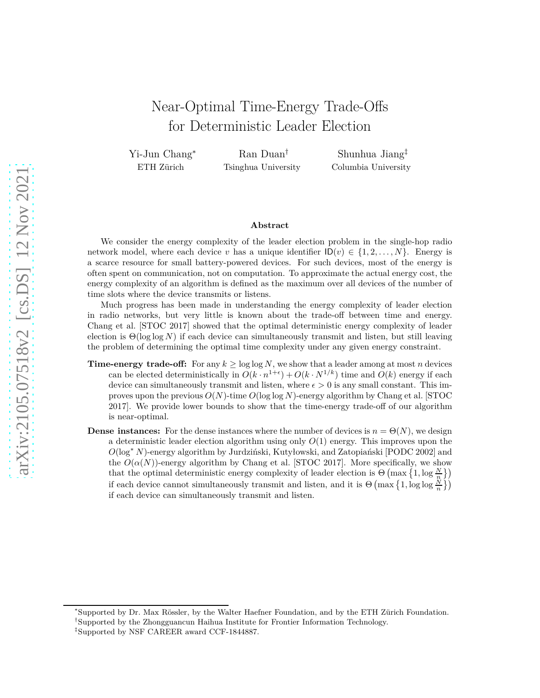# Near-Optimal Time-Energy Trade-Offs for Deterministic Leader Election

Yi-Jun Chang<sup>∗</sup> ETH Zürich

Ran Duan† Tsinghua University

Shunhua Jiang‡ Columbia University

#### **Abstract**

We consider the energy complexity of the leader election problem in the single-hop radio network model, where each device *v* has a unique identifier  $\mathsf{ID}(v) \in \{1, 2, \ldots, N\}$ . Energy is a scarce resource for small battery-powered devices. For such devices, most of the energy is often spent on communication, not on computation. To approximate the actual energy cost, the energy complexity of an algorithm is defined as the maximum over all devices of the number of time slots where the device transmits or listens.

Much progress has been made in understanding the energy complexity of leader election in radio networks, but very little is known about the trade-off between time and energy. Chang et al. [STOC 2017] showed that the optimal deterministic energy complexity of leader election is Θ(log log *N*) if each device can simultaneously transmit and listen, but still leaving the problem of determining the optimal time complexity under any given energy constraint.

- **Time-energy trade-off:** For any  $k \ge \log \log N$ , we show that a leader among at most *n* devices can be elected deterministically in  $O(k \cdot n^{1+\epsilon}) + O(k \cdot N^{1/k})$  time and  $O(k)$  energy if each device can simultaneously transmit and listen, where  $\epsilon > 0$  is any small constant. This improves upon the previous *O*(*N*)-time *O*(log log *N*)-energy algorithm by Chang et al. [STOC 2017]. We provide lower bounds to show that the time-energy trade-off of our algorithm is near-optimal.
- **Dense instances:** For the dense instances where the number of devices is  $n = \Theta(N)$ , we design a deterministic leader election algorithm using only  $O(1)$  energy. This improves upon the *O*(log<sup>∗</sup> *N*)-energy algorithm by Jurdziński, Kutyłowski, and Zatopiański [PODC 2002] and the  $O(\alpha(N))$ -energy algorithm by Chang et al. [STOC 2017]. More specifically, we show that the optimal deterministic energy complexity of leader election is  $\Theta\left(\max\left\{1,\log\frac{N}{n}\right\}\right)$ if each device cannot simultaneously transmit and listen, and it is  $\Theta\left(\max\left\{1,\log\log\frac{N}{n}\right\}\right)$ if each device can simultaneously transmit and listen.

<sup>∗</sup>Supported by Dr. Max Rössler, by the Walter Haefner Foundation, and by the ETH Zürich Foundation.

<sup>†</sup>Supported by the Zhongguancun Haihua Institute for Frontier Information Technology.

<sup>‡</sup> Supported by NSF CAREER award CCF-1844887.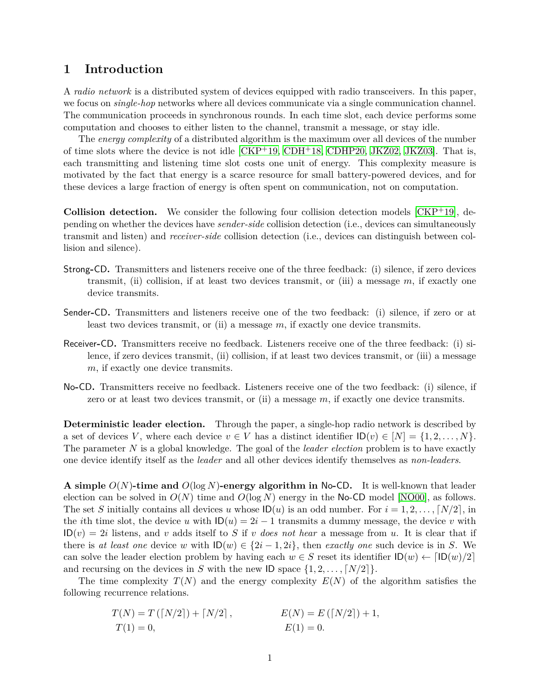### <span id="page-1-0"></span>**1 Introduction**

A *radio network* is a distributed system of devices equipped with radio transceivers. In this paper, we focus on *single-hop* networks where all devices communicate via a single communication channel. The communication proceeds in synchronous rounds. In each time slot, each device performs some computation and chooses to either listen to the channel, transmit a message, or stay idle.

The *energy complexity* of a distributed algorithm is the maximum over all devices of the number of time slots where the device is not idle  $[CKP<sup>+</sup>19, CDH<sup>+</sup>18, CDHP20, JKZ02, JKZ03]$  $[CKP<sup>+</sup>19, CDH<sup>+</sup>18, CDHP20, JKZ02, JKZ03]$  $[CKP<sup>+</sup>19, CDH<sup>+</sup>18, CDHP20, JKZ02, JKZ03]$  $[CKP<sup>+</sup>19, CDH<sup>+</sup>18, CDHP20, JKZ02, JKZ03]$  $[CKP<sup>+</sup>19, CDH<sup>+</sup>18, CDHP20, JKZ02, JKZ03]$  $[CKP<sup>+</sup>19, CDH<sup>+</sup>18, CDHP20, JKZ02, JKZ03]$ . That is, each transmitting and listening time slot costs one unit of energy. This complexity measure is motivated by the fact that energy is a scarce resource for small battery-powered devices, and for these devices a large fraction of energy is often spent on communication, not on computation.

**Collision detection.** We consider the following four collision detection models [\[CKP](#page-19-0)+19], depending on whether the devices have *sender-side* collision detection (i.e., devices can simultaneously transmit and listen) and *receiver-side* collision detection (i.e., devices can distinguish between collision and silence).

- Strong**-**CD**.** Transmitters and listeners receive one of the three feedback: (i) silence, if zero devices transmit, (ii) collision, if at least two devices transmit, or (iii) a message *m*, if exactly one device transmits.
- Sender**-**CD**.** Transmitters and listeners receive one of the two feedback: (i) silence, if zero or at least two devices transmit, or (ii) a message *m*, if exactly one device transmits.
- Receiver**-**CD**.** Transmitters receive no feedback. Listeners receive one of the three feedback: (i) silence, if zero devices transmit, (ii) collision, if at least two devices transmit, or (iii) a message *m*, if exactly one device transmits.
- No**-**CD**.** Transmitters receive no feedback. Listeners receive one of the two feedback: (i) silence, if zero or at least two devices transmit, or (ii) a message *m*, if exactly one device transmits.

**Deterministic leader election.** Through the paper, a single-hop radio network is described by a set of devices *V*, where each device  $v \in V$  has a distinct identifier  $\mathsf{ID}(v) \in [N] = \{1, 2, \ldots, N\}$ . The parameter *N* is a global knowledge. The goal of the *leader election* problem is to have exactly one device identify itself as the *leader* and all other devices identify themselves as *non-leaders*.

**A simple** *O*(*N*)**-time and** *O*(log *N*)**-energy algorithm in** No**-**CD**.** It is well-known that leader election can be solved in  $O(N)$  time and  $O(\log N)$  energy in the No-CD model [\[NO00\]](#page-20-2), as follows. The set *S* initially contains all devices *u* whose  $\text{ID}(u)$  is an odd number. For  $i = 1, 2, \ldots, \lceil N/2 \rceil$ , in the *i*th time slot, the device *u* with  $ID(u) = 2i - 1$  transmits a dummy message, the device *v* with  $ID(v) = 2i$  listens, and *v* adds itself to *S* if *v does not hear* a message from *u*. It is clear that if there is *at least one* device *w* with  $ID(w) \in \{2i-1, 2i\}$ , then *exactly one* such device is in *S*. We can solve the leader election problem by having each  $w \in S$  reset its identifier  $\mathsf{ID}(w) \leftarrow \lceil \mathsf{ID}(w)/2 \rceil$ and recursing on the devices in *S* with the new ID space  $\{1, 2, \ldots, [N/2]\}.$ 

The time complexity  $T(N)$  and the energy complexity  $E(N)$  of the algorithm satisfies the following recurrence relations.

$$
T(N) = T([N/2]) + [N/2], \qquad E(N) = E([N/2]) + 1,
$$
  
\n
$$
T(1) = 0, \qquad E(1) = 0.
$$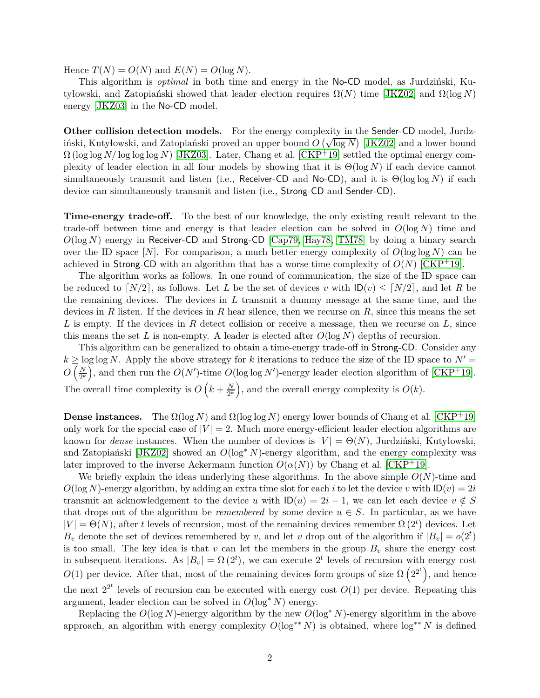Hence  $T(N) = O(N)$  and  $E(N) = O(\log N)$ .

This algorithm is *optimal* in both time and energy in the No-CD model, as Jurdziński, Kutyłowski, and Zatopiański showed that leader election requires Ω(*N*) time [\[JKZ02\]](#page-20-0) and Ω(log *N*) energy [\[JKZ03\]](#page-20-1) in the No-CD model.

**Other collision detection models.** For the energy complexity in the Sender-CD model, Jurdziński, Kutyłowski, and Zatopiański proved an upper bound  $\overrightarrow{O}(\sqrt{\log N})$  [\[JKZ02\]](#page-20-0) and a lower bound  $\Omega$  (log log *N*/ log log *N*) [\[JKZ03\]](#page-20-1). Later, Chang et al. [\[CKP](#page-19-0)<sup>+</sup>19] settled the optimal energy complexity of leader election in all four models by showing that it is Θ(log *N*) if each device cannot simultaneously transmit and listen (i.e., Receiver-CD and No-CD), and it is Θ(log log *N*) if each device can simultaneously transmit and listen (i.e., Strong-CD and Sender-CD).

**Time-energy trade-off.** To the best of our knowledge, the only existing result relevant to the trade-off between time and energy is that leader election can be solved in  $O(\log N)$  time and *O*(log *N*) energy in Receiver-CD and Strong-CD [\[Cap79,](#page-19-3) [Hay78,](#page-20-3) [TM78\]](#page-20-4) by doing a binary search over the ID space  $[N]$ . For comparison, a much better energy complexity of  $O(\log \log N)$  can be achieved in Strong-CD with an algorithm that has a worse time complexity of  $O(N)$  [\[CKP](#page-19-0)<sup>+</sup>19].

The algorithm works as follows. In one round of communication, the size of the ID space can be reduced to  $\lceil N/2 \rceil$ , as follows. Let *L* be the set of devices *v* with  $\lceil D(v) \leq \lceil N/2 \rceil$ , and let *R* be the remaining devices. The devices in *L* transmit a dummy message at the same time, and the devices in *R* listen. If the devices in *R* hear silence, then we recurse on *R*, since this means the set *L* is empty. If the devices in *R* detect collision or receive a message, then we recurse on *L*, since this means the set L is non-empty. A leader is elected after  $O(\log N)$  depths of recursion.

This algorithm can be generalized to obtain a time-energy trade-off in Strong-CD. Consider any  $k \geq \log \log N$ . Apply the above strategy for *k* iterations to reduce the size of the ID space to  $N' =$  $O\left(\frac{N}{2k}\right)$  $\frac{N}{2^k}$ , and then run the  $O(N')$ -time  $O(\log \log N')$ -energy leader election algorithm of [\[CKP](#page-19-0)<sup>+</sup>19]. The overall time complexity is  $O\left(k+\frac{N}{2k}\right)$  $\left(\frac{N}{2^k}\right)$ , and the overall energy complexity is  $O(k)$ .

**Dense instances.** The  $\Omega(\log N)$  and  $\Omega(\log \log N)$  energy lower bounds of Chang et al. [\[CKP](#page-19-0)<sup>+</sup>19] only work for the special case of  $|V| = 2$ . Much more energy-efficient leader election algorithms are known for *dense* instances. When the number of devices is  $|V| = \Theta(N)$ , Jurdziński, Kutyłowski, and Zatopiański [\[JKZ02\]](#page-20-0) showed an *O*(log<sup>∗</sup> *N*)-energy algorithm, and the energy complexity was later improved to the inverse Ackermann function  $O(\alpha(N))$  by Chang et al. [\[CKP](#page-19-0)<sup>+</sup>19].

We briefly explain the ideas underlying these algorithms. In the above simple  $O(N)$ -time and  $O(\log N)$ -energy algorithm, by adding an extra time slot for each *i* to let the device *v* with  $ID(v) = 2i$ transmit an acknowledgement to the device *u* with  $D(u) = 2i - 1$ , we can let each device  $v \notin S$ that drops out of the algorithm be *remembered* by some device  $u \in S$ . In particular, as we have  $|V| = \Theta(N)$ , after *t* levels of recursion, most of the remaining devices remember  $\Omega(2^t)$  devices. Let  $B_v$  denote the set of devices remembered by *v*, and let *v* drop out of the algorithm if  $|B_v| = o(2^t)$ is too small. The key idea is that  $v$  can let the members in the group  $B_v$  share the energy cost in subsequent iterations. As  $|B_v| = \Omega(2^t)$ , we can execute  $2^t$  levels of recursion with energy cost  $O(1)$  per device. After that, most of the remaining devices form groups of size  $\Omega(2^{2^t})$ , and hence the next  $2^{2^t}$  levels of recursion can be executed with energy cost  $O(1)$  per device. Repeating this argument, leader election can be solved in  $O(\log^* N)$  energy.

Replacing the  $O(\log N)$ -energy algorithm by the new  $O(\log^* N)$ -energy algorithm in the above approach, an algorithm with energy complexity  $O(\log^{**} N)$  is obtained, where  $\log^{**} N$  is defined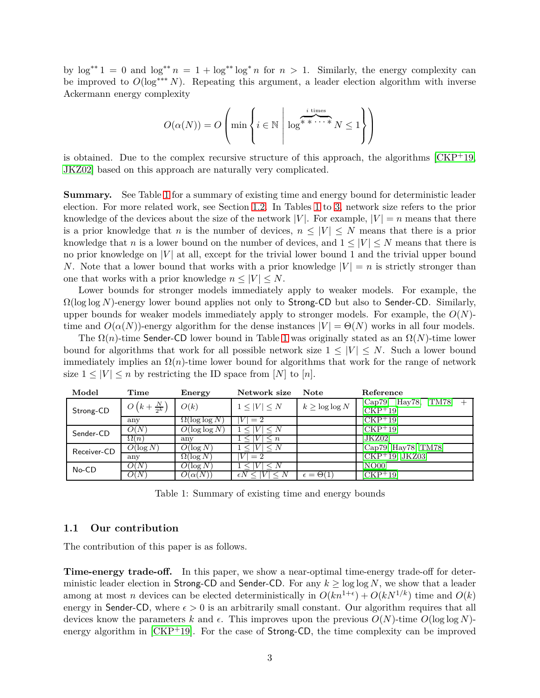by  $\log^{**} 1 = 0$  and  $\log^{**} n = 1 + \log^{**} \log^* n$  for  $n > 1$ . Similarly, the energy complexity can be improved to *O*(log∗∗∗ *N*). Repeating this argument, a leader election algorithm with inverse Ackermann energy complexity

$$
O(\alpha(N)) = O\left(\min\left\{i \in \mathbb{N} \; \middle| \; \log^{\text{$*$ times}} N \leq 1\right\}\right)
$$

is obtained. Due to the complex recursive structure of this approach, the algorithms  $\rm [CKP^{+}19,$  $\rm [CKP^{+}19,$  $\rm [CKP^{+}19,$ [JKZ02\]](#page-20-0) based on this approach are naturally very complicated.

**Summary.** See Table [1](#page-3-0) for a summary of existing time and energy bound for deterministic leader election. For more related work, see Section [1.2.](#page-4-0) In Tables [1](#page-3-0) to [3,](#page-4-1) network size refers to the prior knowledge of the devices about the size of the network  $|V|$ . For example,  $|V| = n$  means that there is a prior knowledge that *n* is the number of devices,  $n \leq |V| \leq N$  means that there is a prior knowledge that *n* is a lower bound on the number of devices, and  $1 \leq |V| \leq N$  means that there is no prior knowledge on  $|V|$  at all, except for the trivial lower bound 1 and the trivial upper bound *N*. Note that a lower bound that works with a prior knowledge  $|V| = n$  is strictly stronger than one that works with a prior knowledge  $n \leq |V| \leq N$ .

Lower bounds for stronger models immediately apply to weaker models. For example, the Ω(log log *N*)-energy lower bound applies not only to Strong-CD but also to Sender-CD. Similarly, upper bounds for weaker models immediately apply to stronger models. For example, the *O*(*N*) time and  $O(\alpha(N))$ -energy algorithm for the dense instances  $|V| = \Theta(N)$  works in all four models.

The  $\Omega(n)$ -time Sender-CD lower bound in Table [1](#page-3-0) was originally stated as an  $\Omega(N)$ -time lower bound for algorithms that work for all possible network size  $1 \leq |V| \leq N$ . Such a lower bound immediately implies an  $\Omega(n)$ -time lower bound for algorithms that work for the range of network size  $1 \leq |V| \leq n$  by restricting the ID space from [N] to [n].

| Model       | $\bf Time$                      | Energy                | Network size        | <b>Note</b>            | Reference                               |  |  |
|-------------|---------------------------------|-----------------------|---------------------|------------------------|-----------------------------------------|--|--|
| Strong-CD   | $O\left(k+\frac{N}{2^k}\right)$ | O(k)                  | $1 \leq  V  \leq N$ | $k \geq \log \log N$   | TM78<br>Hay78,<br> Cap79,<br>$[CHP+19]$ |  |  |
|             | any                             | $\Omega(\log \log N)$ | $=2$                |                        | [CKP+19]                                |  |  |
| Sender-CD   | O(N)                            | $O(\log \log N)$      |                     |                        | [CKP <sup>+</sup> 19]                   |  |  |
|             | $\Omega(n)$                     | any                   | $\leq n$            |                        | [JKZ02]                                 |  |  |
| Receiver-CD | $O(\log N)$                     | $O(\log N)$           | $\leq N$            |                        | [Cap79, Hay78, TM78]                    |  |  |
|             | any                             | $\Omega(\log N)$      | $=2$                |                        | [CKP <sup>+</sup> 19, JKZ03]            |  |  |
| No-CD       | O(N)                            | $O(\log N)$           |                     |                        | [NO00]                                  |  |  |
|             | O(N)                            | $O(\alpha(N))$        | $\epsilon N$        | $\epsilon = \Theta(1)$ | [CKP+19]                                |  |  |

<span id="page-3-0"></span>Table 1: Summary of existing time and energy bounds

#### **1.1 Our contribution**

The contribution of this paper is as follows.

**Time-energy trade-off.** In this paper, we show a near-optimal time-energy trade-off for deterministic leader election in Strong-CD and Sender-CD. For any  $k \ge \log \log N$ , we show that a leader among at most *n* devices can be elected deterministically in  $O(kn^{1+\epsilon}) + O(kN^{1/k})$  time and  $O(k)$ energy in Sender-CD, where  $\epsilon > 0$  is an arbitrarily small constant. Our algorithm requires that all devices know the parameters k and  $\epsilon$ . This improves upon the previous  $O(N)$ -time  $O(\log \log N)$ energy algorithm in  $[CKP+19]$ . For the case of **Strong-CD**, the time complexity can be improved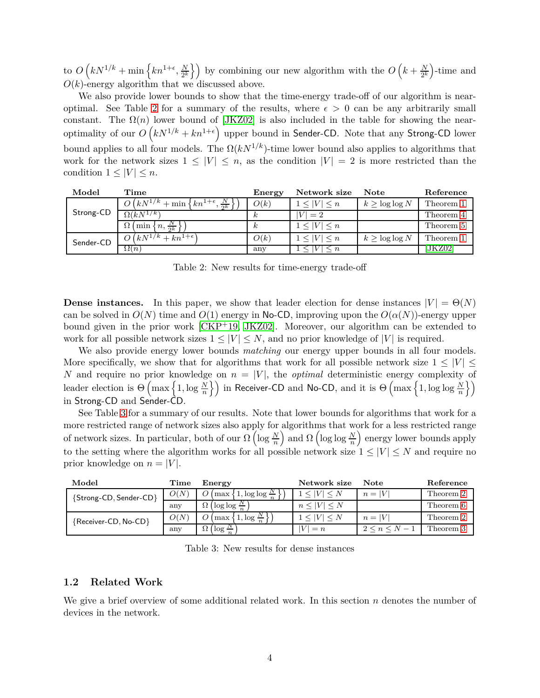to  $O(kN^{1/k} + \min\left\{kn^{1+\epsilon}, \frac{N}{2^k}\right\})$  $\left\{ \frac{N}{2^k} \right\}$  by combining our new algorithm with the  $O\left(k + \frac{N}{2^k}\right)$ -time and  $O(k)$ -energy algorithm that we discussed above.

We also provide lower bounds to show that the time-energy trade-off of our algorithm is near-optimal. See Table [2](#page-4-2) for a summary of the results, where  $\epsilon > 0$  can be any arbitrarily small constant. The  $\Omega(n)$  lower bound of [\[JKZ02\]](#page-20-0) is also included in the table for showing the nearoptimality of our  $O(kN^{1/k} + kn^{1+\epsilon})$  upper bound in Sender-CD. Note that any Strong-CD lower bound applies to all four models. The  $\Omega(kN^{1/k})$ -time lower bound also applies to algorithms that work for the network sizes  $1 \leq |V| \leq n$ , as the condition  $|V| = 2$  is more restricted than the condition  $1 \leq |V| \leq n$ .

| Model     | Time                                                                       | Energy   | Network size               | <b>Note</b>       | Reference |
|-----------|----------------------------------------------------------------------------|----------|----------------------------|-------------------|-----------|
| Strong-CD | $\overline{O(k}N^{1/k} + \min\left\{kn^{1+\epsilon},\frac{N}{2^k}\right\}$ | O(k)     | 1 <  V  < n                | $k > \log \log N$ | Theorem 1 |
|           | $\Omega(kN^{1/k})$                                                         | $\kappa$ | $ V =2$                    |                   | Theorem 4 |
|           | $\Omega$ (min $\{n, \frac{N}{2k}\}\$ '                                     | $\kappa$ | $1 \leq  V  \leq n$        |                   | Theorem 5 |
| Sender-CD | $O(kN^{1/k}+kn^{1+\epsilon})$                                              | O(k)     | $1 \leq  V  \leq n$        | $k > \log \log N$ | Theorem 1 |
|           | $\Omega(n)$                                                                | any      | $\leq n$<br>$\mathsf{V}$ I |                   | JKZ021    |

<span id="page-4-2"></span>Table 2: New results for time-energy trade-off

**Dense instances.** In this paper, we show that leader election for dense instances  $|V| = \Theta(N)$ can be solved in  $O(N)$  time and  $O(1)$  energy in No-CD, improving upon the  $O(\alpha(N))$ -energy upper bound given in the prior work [\[CKP](#page-19-0)+19, [JKZ02\]](#page-20-0). Moreover, our algorithm can be extended to work for all possible network sizes  $1 \leq |V| \leq N$ , and no prior knowledge of |*V*| is required.

We also provide energy lower bounds *matching* our energy upper bounds in all four models. More specifically, we show that for algorithms that work for all possible network size  $1 \leq |V| \leq$ *N* and require no prior knowledge on  $n = |V|$ , the *optimal* deterministic energy complexity of leader election is  $\Theta\left(\max\left\{1,\log\frac{N}{n}\right\}\right)$  in Receiver-CD and No-CD, and it is  $\Theta\left(\max\left\{1,\log\log\frac{N}{n}\right\}\right)$  $\mathcal{U}$ in Strong-CD and Sender-CD.

See Table [3](#page-4-1) for a summary of our results. Note that lower bounds for algorithms that work for a more restricted range of network sizes also apply for algorithms that work for a less restricted range of network sizes. In particular, both of our  $\Omega\left(\log\frac{N}{n}\right)$ and  $\Omega$  (log log  $\frac{N}{n}$ ) energy lower bounds apply to the setting where the algorithm works for all possible network size  $1 \leq |V| \leq N$  and require no prior knowledge on  $n = |V|$ .

| Model                  | Time | Energy                                  | Network size | Note    | Reference |
|------------------------|------|-----------------------------------------|--------------|---------|-----------|
| {Strong-CD, Sender-CD} | O(N) | $\ldots$ , log log $\frac{N}{n}$<br>max |              | $n= V $ | Theorem 2 |
|                        | any  | $\log \log \frac{N}{n}$                 | $ V  \leq N$ |         | Theorem 6 |
| {Receiver-CD, No-CD}   | O(N) | $1, \log \frac{1}{n}$<br>max            |              | $n= V $ | Theorem 2 |
|                        | any  | $\log \frac{N}{n}$                      | $= n$        | $N -$   | Theorem 3 |

<span id="page-4-1"></span>Table 3: New results for dense instances

#### <span id="page-4-0"></span>**1.2 Related Work**

We give a brief overview of some additional related work. In this section *n* denotes the number of devices in the network.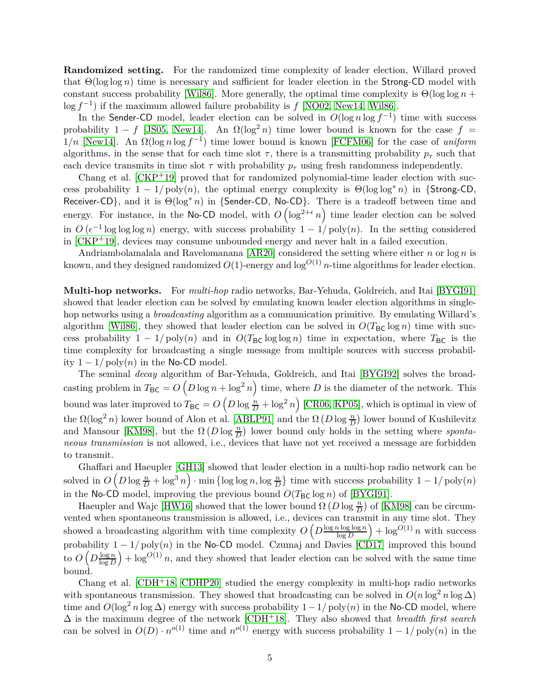**Randomized setting.** For the randomized time complexity of leader election, Willard proved that Θ(log log *n*) time is necessary and sufficient for leader election in the Strong-CD model with constant success probability [\[Wil86\]](#page-20-5). More generally, the optimal time complexity is  $\Theta(\log \log n +$ log *f*<sup>-1</sup>) if the maximum allowed failure probability is *f* [\[NO02,](#page-20-6) [New14,](#page-20-7) [Wil86\]](#page-20-5).

In the Sender-CD model, leader election can be solved in  $O(\log n \log f^{-1})$  time with success probability 1 − *f* [\[JS05,](#page-20-8) [New14\]](#page-20-7). An  $\Omega(\log^2 n)$  time lower bound is known for the case  $f =$  $1/n$  [\[New14\]](#page-20-7). An  $\Omega(\log n \log f^{-1})$  time lower bound is known [\[FCFM06\]](#page-20-9) for the case of *uniform* algorithms, in the sense that for each time slot  $\tau$ , there is a transmitting probability  $p_{\tau}$  such that each device transmits in time slot  $\tau$  with probability  $p_{\tau}$  using fresh randomness independently.

Chang et al.  $[CKP+19]$  proved that for randomized polynomial-time leader election with success probability  $1 - 1/poly(n)$ , the optimal energy complexity is  $\Theta(\log \log^* n)$  in {Strong-CD, Receiver-CD}, and it is Θ(log<sup>∗</sup> *<sup>n</sup>*) in {Sender-CD, No-CD}. There is a tradeoff between time and energy. For instance, in the No-CD model, with  $O\left(\log^{2+\epsilon} n\right)$  time leader election can be solved in  $O(\epsilon^{-1} \log \log \log n)$  energy, with success probability  $1 - 1/poly(n)$ . In the setting considered in [\[CKP](#page-19-0)+19], devices may consume unbounded energy and never halt in a failed execution.

Andriambolamalala and Ravelomanana [\[AR20\]](#page-19-4) considered the setting where either *n* or log *n* is known, and they designed randomized  $O(1)$ -energy and  $\log^{O(1)} n$ -time algorithms for leader election.

**Multi-hop networks.** For *multi-hop* radio networks, Bar-Yehuda, Goldreich, and Itai [\[BYGI91\]](#page-19-5) showed that leader election can be solved by emulating known leader election algorithms in singlehop networks using a *broadcasting* algorithm as a communication primitive. By emulating Willard's algorithm [\[Wil86\]](#page-20-5), they showed that leader election can be solved in  $O(T_{BC} \log n)$  time with success probability  $1 - 1/poly(n)$  and in  $O(T_{BC} \log \log n)$  time in expectation, where  $T_{BC}$  is the time complexity for broadcasting a single message from multiple sources with success probability  $1 - 1$ / poly $(n)$  in the No-CD model.

The seminal *decay* algorithm of Bar-Yehuda, Goldreich, and Itai [\[BYGI92\]](#page-19-6) solves the broadcasting problem in  $T_{BC} = O\left(D\log n + \log^2 n\right)$  time, where *D* is the diameter of the network. This bound was later improved to  $T_{BC} = O\left(D\log\frac{n}{D} + \log^2 n\right)$  [\[CR06,](#page-19-7) [KP05\]](#page-20-10), which is optimal in view of the  $\Omega(\log^2 n)$  lower bound of Alon et al. [\[ABLP91\]](#page-19-8) and the  $\Omega(D \log \frac{n}{D})$  lower bound of Kushilevitz and Mansour [\[KM98\]](#page-20-11), but the  $\Omega(D \log \frac{n}{D})$  lower bound only holds in the setting where *spontaneous transmission* is not allowed, i.e., devices that have not yet received a message are forbidden to transmit.

Ghaffari and Haeupler [\[GH13\]](#page-20-12) showed that leader election in a multi-hop radio network can be  $\int$  solved in  $O\left(D\log\frac{n}{D} + \log^3 n\right) \cdot \min\left\{\log\log n, \log\frac{n}{D}\right\}$  time with success probability  $1 - 1/\text{poly}(n)$ in the No-CD model, improving the previous bound  $O(T_{BC} \log n)$  of [\[BYGI91\]](#page-19-5).

Haeupler and Wajc [\[HW16\]](#page-20-13) showed that the lower bound  $\Omega(D \log \frac{n}{D})$  of [\[KM98\]](#page-20-11) can be circumvented when spontaneous transmission is allowed, i.e., devices can transmit in any time slot. They showed a broadcasting algorithm with time complexity  $O\left(D\frac{\log n \log \log n}{\log D}\right)$ log *D*  $\log^{O(1)} n$  with success probability  $1 - 1/poly(n)$  in the No-CD model. Czumaj and Davies [\[CD17\]](#page-19-9) improved this bound to  $O\left(D\frac{\log n}{\log D}\right)$ log *D*  $+ \log^{O(1)} n$ , and they showed that leader election can be solved with the same time bound.

Chang et al.  $[CDH<sup>+</sup>18$ ,  $CDHP20]$  studied the energy complexity in multi-hop radio networks with spontaneous transmission. They showed that broadcasting can be solved in  $O(n \log^2 n \log \Delta)$ time and  $O(\log^2 n \log \Delta)$  energy with success probability  $1 - 1/\text{poly}(n)$  in the No-CD model, where ∆ is the maximum degree of the network [\[CDH](#page-19-1)+18]. They also showed that *breadth first search* can be solved in  $O(D) \cdot n^{o(1)}$  time and  $n^{o(1)}$  energy with success probability  $1 - 1/poly(n)$  in the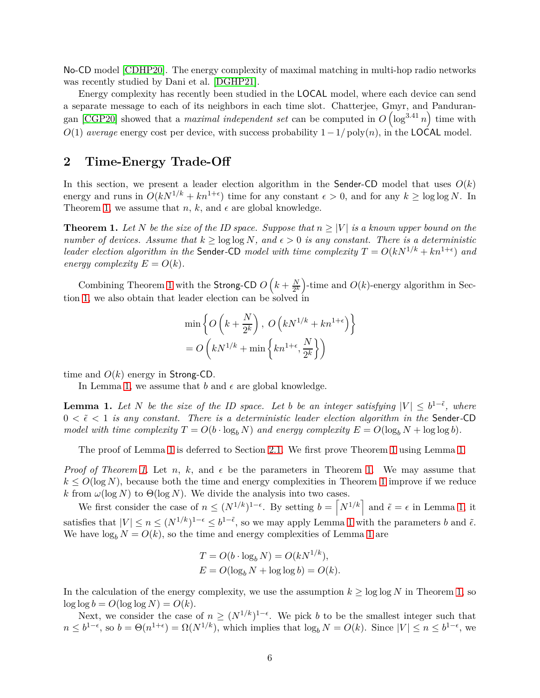No-CD model [\[CDHP20\]](#page-19-2). The energy complexity of maximal matching in multi-hop radio networks was recently studied by Dani et al. [\[DGHP21\]](#page-19-10).

Energy complexity has recently been studied in the LOCAL model, where each device can send a separate message to each of its neighbors in each time slot. Chatterjee, Gmyr, and Panduran-gan [\[CGP20\]](#page-19-11) showed that a *maximal independent set* can be computed in  $O(\log^{3.41} n)$  time with *O*(1) *average* energy cost per device, with success probability  $1 - 1/poly(n)$ , in the LOCAL model.

## **2 Time-Energy Trade-Off**

In this section, we present a leader election algorithm in the Sender-CD model that uses  $O(k)$ energy and runs in  $O(kN^{1/k} + kn^{1+\epsilon})$  time for any constant  $\epsilon > 0$ , and for any  $k \ge \log \log N$ . In Theorem [1,](#page-6-0) we assume that  $n, k$ , and  $\epsilon$  are global knowledge.

<span id="page-6-0"></span>**Theorem 1.** Let *N* be the size of the ID space. Suppose that  $n \geq |V|$  is a known upper bound on the *number of devices. Assume that*  $k \geq \log \log N$ *, and*  $\epsilon > 0$  *is any constant. There is a deterministic leader election algorithm in the* Sender-CD *model with time complexity*  $T = O(kN^{1/k} + kn^{1+\epsilon})$  *and energy complexity*  $E = O(k)$ *.* 

Combining Theorem [1](#page-6-0) with the Strong-CD  $O\left(k+\frac{N}{2k}\right)$  $\frac{N}{2^k}$ )-time and  $O(k)$ -energy algorithm in Section [1,](#page-1-0) we also obtain that leader election can be solved in

$$
\min \left\{ O\left(k + \frac{N}{2^k}\right), O\left(kN^{1/k} + kn^{1+\epsilon}\right) \right\}
$$

$$
= O\left(kN^{1/k} + \min\left\{kn^{1+\epsilon}, \frac{N}{2^k}\right\}\right)
$$

<span id="page-6-1"></span>time and *O*(*k*) energy in Strong-CD.

In Lemma [1,](#page-6-1) we assume that  $b$  and  $\epsilon$  are global knowledge.

**Lemma 1.** Let *N* be the size of the ID space. Let *b* be an integer satisfying  $|V| \le b^{1-\tilde{\epsilon}}$ , where  $0 < \tilde{\epsilon} < 1$  *is any constant. There is a deterministic leader election algorithm in the* Sender-CD *model with time complexity*  $T = O(b \cdot \log_b N)$  *and energy complexity*  $E = O(\log_b N + \log \log b)$ *.* 

The proof of Lemma [1](#page-6-1) is deferred to Section [2.1.](#page-7-0) We first prove Theorem [1](#page-6-0) using Lemma [1.](#page-6-1)

*Proof of Theorem [1.](#page-6-0)* Let *n*, *k*, and  $\epsilon$  be the parameters in Theorem 1. We may assume that  $k \leq O(\log N)$ , because both the time and energy complexities in Theorem [1](#page-6-0) improve if we reduce *k* from  $\omega(\log N)$  to  $\Theta(\log N)$ . We divide the analysis into two cases.

We first consider the case of  $n \leq (N^{1/k})^{1-\epsilon}$ . By setting  $b = \lceil N^{1/k} \rceil$  and  $\tilde{\epsilon} = \epsilon$  in Lemma [1,](#page-6-1) it satisfies that  $|V| \le n \le (N^{1/k})^{1-\epsilon} \le b^{1-\tilde{\epsilon}}$ , so we may apply Lemma [1](#page-6-1) with the parameters *b* and  $\tilde{\epsilon}$ . We have  $\log_b N = O(k)$ , so the time and energy complexities of Lemma [1](#page-6-1) are

$$
T = O(b \cdot \log_b N) = O(kN^{1/k}),
$$
  
\n
$$
E = O(\log_b N + \log \log b) = O(k).
$$

In the calculation of the energy complexity, we use the assumption  $k \geq \log \log N$  in Theorem [1,](#page-6-0) so  $\log \log b = O(\log \log N) = O(k)$ .

Next, we consider the case of  $n \geq (N^{1/k})^{1-\epsilon}$ . We pick *b* to be the smallest integer such that  $n \leq b^{1-\epsilon}$ , so  $b = \Theta(n^{1+\epsilon}) = \Omega(N^{1/k})$ , which implies that  $\log_b N = O(k)$ . Since  $|V| \leq n \leq b^{1-\epsilon}$ , we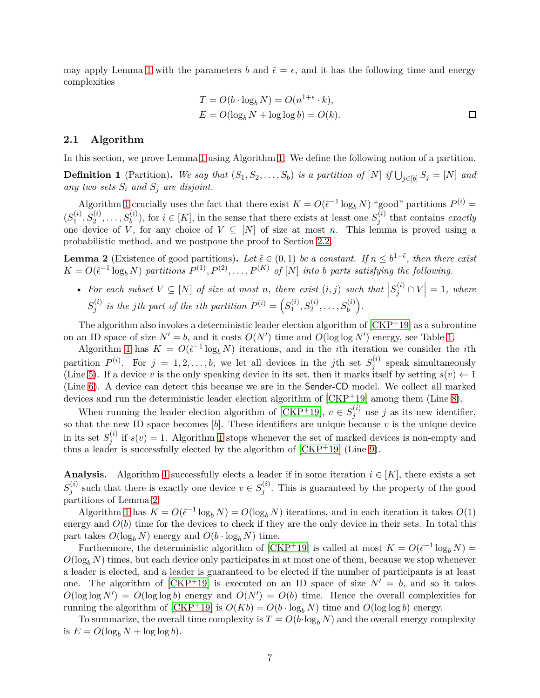may apply Lemma [1](#page-6-1) with the parameters *b* and  $\tilde{\epsilon} = \epsilon$ , and it has the following time and energy complexities

$$
T = O(b \cdot \log_b N) = O(n^{1+\epsilon} \cdot k),
$$
  
\n
$$
E = O(\log_b N + \log \log b) = O(k).
$$

#### <span id="page-7-0"></span>**2.1 Algorithm**

In this section, we prove Lemma [1](#page-6-1) using Algorithm [1.](#page-8-0) We define the following notion of a partition.

**Definition 1** (Partition). We say that  $(S_1, S_2, \ldots, S_b)$  is a partition of  $[N]$  if  $\bigcup_{j \in [b]} S_j = [N]$  and any two sets  $S_i$  and  $S_j$  are disjoint.

Algorithm [1](#page-8-0) crucially uses the fact that there exist  $K = O(\tilde{\epsilon}^{-1} \log_b N)$  "good" partitions  $P^{(i)} =$  $(S_1^{(i)}$  $S_1^{(i)}, S_2^{(i)}, \ldots, S_b^{(i)}$ , for  $i \in [K]$ , in the sense that there exists at least one  $S_j^{(i)}$ *j* that contains *exactly* one device of *V*, for any choice of  $V \subseteq [N]$  of size at most *n*. This lemma is proved using a probabilistic method, and we postpone the proof to Section [2.2.](#page-8-1)

<span id="page-7-1"></span>**Lemma 2** (Existence of good partitions). Let  $\tilde{\epsilon} \in (0,1)$  be a constant. If  $n \leq b^{1-\tilde{\epsilon}}$ , then there exist  $K = O(\tilde{\epsilon}^{-1} \log_b N)$  *partitions*  $P^{(1)}, P^{(2)}, \ldots, P^{(K)}$  *of* [*N*] *into b parts satisfying the following.* 

• For each subset  $V \subseteq [N]$  of size at most *n*, there exist  $(i, j)$  such that  $|S_j^{(i)} \cap V| = 1$ , where  $S_i^{(i)}$  $g_j^{(i)}$  *is the jth part of the <i>i*<sup>th</sup> partition  $P^{(i)} = \left( S_1^{(i)} \right)$  $J_1^{(i)}, S_2^{(i)}, \ldots, S_b^{(i)}\Big).$ 

The algorithm also invokes a deterministic leader election algorithm of  $\lfloor CKP^+19 \rfloor$  as a subroutine on an ID space of size  $N' = b$ , and it costs  $O(N')$  time and  $O(\log \log N')$  energy, see Table [1.](#page-3-0)

Algorithm [1](#page-8-0) has  $K = O(\tilde{\epsilon}^{-1} \log_b N)$  iterations, and in the *i*th iteration we consider the *i*th partition  $P^{(i)}$ . For  $j = 1, 2, ..., b$ , we let all devices in the *j*th set  $S_j^{(i)}$  $j_j^{(i)}$  speak simultaneously (Line [5\)](#page-8-2). If a device *v* is the only speaking device in its set, then it marks itself by setting  $s(v) \leftarrow 1$ (Line [6\)](#page-8-3). A device can detect this because we are in the Sender-CD model. We collect all marked devices and run the deterministic leader election algorithm of [\[CKP](#page-19-0)+19] among them (Line [8\)](#page-8-4).

When running the leader election algorithm of [\[CKP](#page-19-0)<sup>+</sup>19],  $v \in S_j^{(i)}$  $j^{(i)}$  use *j* as its new identifier, so that the new ID space becomes [*b*]. These identifiers are unique because *v* is the unique device in its set  $S_i^{(i)}$  $j^{(i)}$  if  $s(v) = 1$  $s(v) = 1$ . Algorithm 1 stops whenever the set of marked devices is non-empty and thus a leader is successfully elected by the algorithm of  $\text{[CKP+19]}$  (Line [9\)](#page-8-5).

**Analysis.** Algorithm [1](#page-8-0) successfully elects a leader if in some iteration  $i \in [K]$ , there exists a set  $S_i^{(i)}$  $g_j^{(i)}$  such that there is exactly one device  $v \in S_j^{(i)}$  $j^{(i)}$ . This is guaranteed by the property of the good partitions of Lemma [2.](#page-7-1)

Algorithm [1](#page-8-0) has  $K = O(\tilde{\epsilon}^{-1} \log_b N) = O(\log_b N)$  iterations, and in each iteration it takes  $O(1)$ energy and  $O(b)$  time for the devices to check if they are the only device in their sets. In total this part takes  $O(\log_b N)$  energy and  $O(b \cdot \log_b N)$  time.

Furthermore, the deterministic algorithm of [\[CKP](#page-19-0)<sup>+</sup>19] is called at most  $K = O(\tilde{\epsilon}^{-1} \log_b N)$  =  $O(\log_b N)$  times, but each device only participates in at most one of them, because we stop whenever a leader is elected, and a leader is guaranteed to be elected if the number of participants is at least one. The algorithm of  $[CKP+19]$  is executed on an ID space of size  $N' = b$ , and so it takes  $O(\log \log N') = O(\log \log b)$  energy and  $O(N') = O(b)$  time. Hence the overall complexities for running the algorithm of  $[\text{CKP}^+19]$  is  $O(Kb) = O(b \cdot \log_b N)$  time and  $O(\log \log b)$  energy.

To summarize, the overall time complexity is  $T = O(b \cdot \log_b N)$  and the overall energy complexity is  $E = O(\log_b N + \log \log b)$ .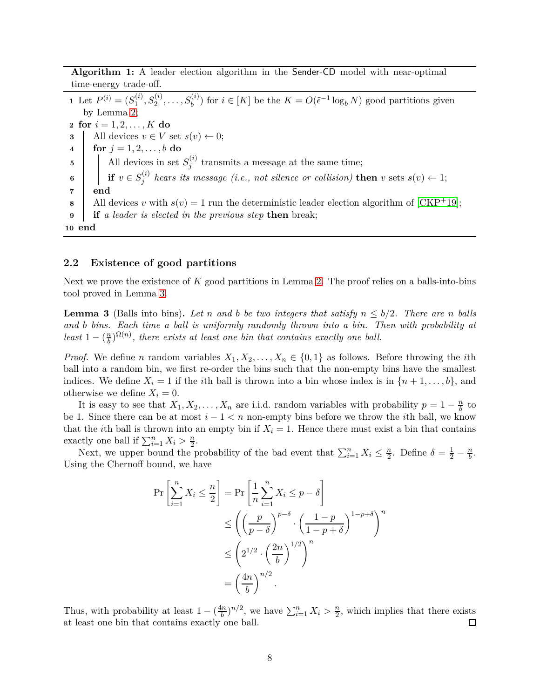<span id="page-8-0"></span>**Algorithm 1:** A leader election algorithm in the Sender-CD model with near-optimal time-energy trade-off.

<span id="page-8-3"></span><span id="page-8-2"></span>**1** Let  $P^{(i)} = (S_1^{(i)}$  $\mathcal{L}^{(i)}_1, S_2^{(i)}, \ldots, S_b^{(i)}$  for  $i \in [K]$  be the  $K = O(\tilde{\epsilon}^{-1} \log_b N)$  good partitions given by Lemma [2;](#page-7-1) **2 for**  $i = 1, 2, ..., K$  **do 3** All devices  $v \in V$  set  $s(v) \leftarrow 0$ ;<br>**4** for  $j = 1, 2, ..., b$  do **for**  $j = 1, 2, \ldots, b$  **do 5** All devices in set  $S_i^{(i)}$  $j_j^{(i)}$  transmits a message at the same time;  $\mathbf{6}$  **if**  $v \in S_j^{(i)}$  $j^{(i)}$  hears its message (i.e., not silence or collision) **then** *v* sets  $s(v) \leftarrow 1$ ; **7 end 8** All devices *v* with  $s(v) = 1$  run the deterministic leader election algorithm of [\[CKP](#page-19-0)<sup>+</sup>19]; **9 if** *a leader is elected in the previous step* **then** break; **10 end**

#### <span id="page-8-5"></span><span id="page-8-4"></span><span id="page-8-1"></span>**2.2 Existence of good partitions**

<span id="page-8-6"></span>Next we prove the existence of *K* good partitions in Lemma [2.](#page-7-1) The proof relies on a balls-into-bins tool proved in Lemma [3.](#page-8-6)

**Lemma 3** (Balls into bins). Let *n* and *b* be two integers that satisfy  $n \leq b/2$ . There are *n* balls *and b bins. Each time a ball is uniformly randomly thrown into a bin. Then with probability at least*  $1 - \left(\frac{n}{b}\right)$  $\frac{n}{b}$ <sup> $\Omega(n)$ </sup>, there exists at least one bin that contains exactly one ball.

*Proof.* We define *n* random variables  $X_1, X_2, \ldots, X_n \in \{0, 1\}$  as follows. Before throwing the *i*th ball into a random bin, we first re-order the bins such that the non-empty bins have the smallest indices. We define  $X_i = 1$  if the *i*th ball is thrown into a bin whose index is in  $\{n+1,\ldots,b\}$ , and otherwise we define  $X_i = 0$ .

It is easy to see that  $X_1, X_2, \ldots, X_n$  are i.i.d. random variables with probability  $p = 1 - \frac{n}{b}$  $\frac{h}{b}$  to be 1. Since there can be at most *i* − 1 *< n* non-empty bins before we throw the *i*th ball, we know that the *i*th ball is thrown into an empty bin if  $X_i = 1$ . Hence there must exist a bin that contains exactly one ball if  $\sum_{i=1}^{n} X_i > \frac{n}{2}$ .

Next, we upper bound the probability of the bad event that  $\sum_{i=1}^{n} X_i \leq \frac{n}{2}$ . Define  $\delta = \frac{1}{2} - \frac{n}{b}$ . Using the Chernoff bound, we have

$$
\Pr\left[\sum_{i=1}^{n} X_i \le \frac{n}{2}\right] = \Pr\left[\frac{1}{n} \sum_{i=1}^{n} X_i \le p - \delta\right]
$$
  

$$
\le \left(\left(\frac{p}{p - \delta}\right)^{p - \delta} \cdot \left(\frac{1 - p}{1 - p + \delta}\right)^{1 - p + \delta}\right)^n
$$
  

$$
\le \left(2^{1/2} \cdot \left(\frac{2n}{b}\right)^{1/2}\right)^n
$$
  

$$
= \left(\frac{4n}{b}\right)^{n/2}.
$$

Thus, with probability at least  $1 - \left(\frac{4n}{b}\right)$  $\frac{\ln n}{b}$ <sup>*n*</sup>/<sup>2</sup>, we have  $\sum_{i=1}^{n} X_i > \frac{n}{2}$  $\frac{n}{2}$ , which implies that there exists at least one bin that contains exactly one ball.  $\Box$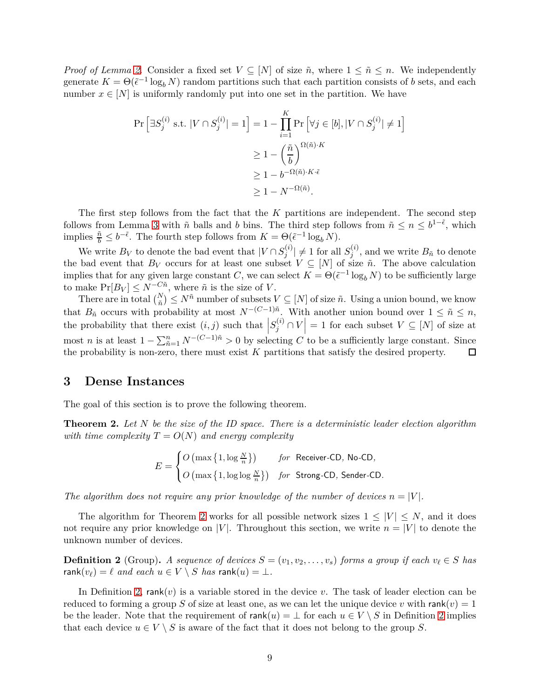*Proof of Lemma [2.](#page-7-1)* Consider a fixed set  $V \subseteq [N]$  of size  $\tilde{n}$ , where  $1 \leq \tilde{n} \leq n$ . We independently generate  $K = \Theta(\tilde{\epsilon}^{-1} \log_b N)$  random partitions such that each partition consists of *b* sets, and each number  $x \in [N]$  is uniformly randomly put into one set in the partition. We have

$$
\Pr\left[\exists S_j^{(i)} \text{ s.t. } |V \cap S_j^{(i)}| = 1\right] = 1 - \prod_{i=1}^K \Pr\left[\forall j \in [b], |V \cap S_j^{(i)}| \neq 1\right]
$$

$$
\geq 1 - \left(\frac{\tilde{n}}{b}\right)^{\Omega(\tilde{n}) \cdot K}
$$

$$
\geq 1 - b^{-\Omega(\tilde{n}) \cdot K \cdot \tilde{\epsilon}}
$$

$$
\geq 1 - N^{-\Omega(\tilde{n})}.
$$

The first step follows from the fact that the *K* partitions are independent. The second step follows from Lemma [3](#page-8-6) with  $\tilde{n}$  balls and *b* bins. The third step follows from  $\tilde{n} \leq n \leq b^{1-\tilde{\epsilon}}$ , which implies  $\frac{\tilde{n}}{b} \leq b^{-\tilde{\epsilon}}$ . The fourth step follows from  $K = \Theta(\tilde{\epsilon}^{-1} \log_b N)$ .

We write  $B_V$  to denote the bad event that  $|V \cap S_j^{(i)}|$  $|j^{(i)}| \neq 1$  for all  $S_j^{(i)}$  $j^{(i)}$ , and we write  $B_{\tilde{n}}$  to denote the bad event that  $B_V$  occurs for at least one subset  $V \subseteq [N]$  of size  $\tilde{n}$ . The above calculation implies that for any given large constant *C*, we can select  $K = \Theta(\tilde{\epsilon}^{-1} \log_b N)$  to be sufficiently large to make  $Pr[B_V] \leq N^{-C\tilde{n}}$ , where  $\tilde{n}$  is the size of *V*.

There are in total  $\binom{N}{\tilde{n}} \leq N^{\tilde{n}}$  number of subsets  $V \subseteq [N]$  of size  $\tilde{n}$ . Using a union bound, we know that  $B_{\tilde{n}}$  occurs with probability at most  $N^{-(C-1)\tilde{n}}$ . With another union bound over  $1 \leq \tilde{n} \leq n$ , the probability that there exist  $(i, j)$  such that  $|S_j^{(i)} \cap V| = 1$  for each subset  $V \subseteq [N]$  of size at most *n* is at least  $1 - \sum_{\tilde{n}=1}^{n} N^{-(C-1)\tilde{n}} > 0$  by selecting *C* to be a sufficiently large constant. Since the probability is non-zero, there must exist *K* partitions that satisfy the desired property. □

### **3 Dense Instances**

<span id="page-9-0"></span>The goal of this section is to prove the following theorem.

**Theorem 2.** *Let N be the size of the ID space. There is a deterministic leader election algorithm with time complexity*  $T = O(N)$  *and energy complexity* 

$$
E = \begin{cases} O\left(\max\left\{1, \log\frac{N}{n}\right\}\right) & \text{for Receiver-CD, No-CD,} \\ O\left(\max\left\{1, \log\log\frac{N}{n}\right\}\right) & \text{for Strong-CD, Sender-CD.} \end{cases}
$$

*The algorithm does not require any prior knowledge of the number of devices*  $n = |V|$ .

The algorithm for Theorem [2](#page-9-0) works for all possible network sizes  $1 \leq |V| \leq N$ , and it does not require any prior knowledge on |*V*|. Throughout this section, we write  $n = |V|$  to denote the unknown number of devices.

<span id="page-9-1"></span>**Definition 2** (Group). A sequence of devices  $S = (v_1, v_2, \ldots, v_s)$  forms a group if each  $v_\ell \in S$  has rank $(v_\ell) = \ell$  *and each*  $u \in V \setminus S$  *has* rank $(u) = \bot$ *.* 

In Definition [2,](#page-9-1) rank(*v*) is a variable stored in the device *v*. The task of leader election can be reduced to forming a group *S* of size at least one, as we can let the unique device *v* with rank(*v*) = 1 be the leader. Note that the requirement of rank $(u) = \perp$  for each  $u \in V \setminus S$  in Definition [2](#page-9-1) implies that each device  $u \in V \setminus S$  is aware of the fact that it does not belong to the group S.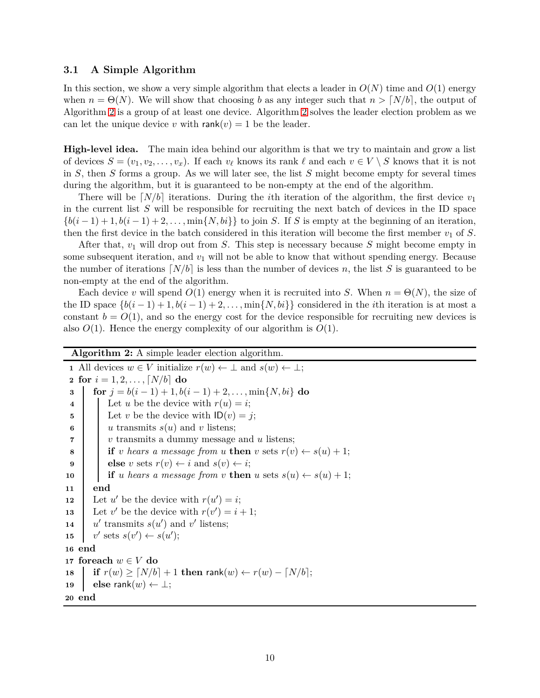#### <span id="page-10-11"></span>**3.1 A Simple Algorithm**

In this section, we show a very simple algorithm that elects a leader in  $O(N)$  time and  $O(1)$  energy when  $n = \Theta(N)$ . We will show that choosing *b* as any integer such that  $n > \lceil N/b \rceil$ , the output of Algorithm [2](#page-10-0) is a group of at least one device. Algorithm [2](#page-10-0) solves the leader election problem as we can let the unique device *v* with  $rank(v) = 1$  be the leader.

**High-level idea.** The main idea behind our algorithm is that we try to maintain and grow a list of devices  $S = (v_1, v_2, \ldots, v_x)$ . If each  $v_\ell$  knows its rank  $\ell$  and each  $v \in V \setminus S$  knows that it is not in *S*, then *S* forms a group. As we will later see, the list *S* might become empty for several times during the algorithm, but it is guaranteed to be non-empty at the end of the algorithm.

There will be  $\lceil N/b \rceil$  iterations. During the *i*th iteration of the algorithm, the first device  $v_1$ in the current list *S* will be responsible for recruiting the next batch of devices in the ID space  ${b(i-1)+1, b(i-1)+2,..., min{N, bi}}$  to join *S*. If *S* is empty at the beginning of an iteration, then the first device in the batch considered in this iteration will become the first member  $v_1$  of *S*.

After that, *v*<sup>1</sup> will drop out from *S*. This step is necessary because *S* might become empty in some subsequent iteration, and  $v_1$  will not be able to know that without spending energy. Because the number of iterations  $\lceil N/b \rceil$  is less than the number of devices *n*, the list *S* is guaranteed to be non-empty at the end of the algorithm.

Each device *v* will spend  $O(1)$  energy when it is recruited into *S*. When  $n = \Theta(N)$ , the size of the ID space  $\{b(i-1)+1, b(i-1)+2, \ldots, \min\{N, bi\}\}\)$  considered in the *i*th iteration is at most a constant  $b = O(1)$ , and so the energy cost for the device responsible for recruiting new devices is also  $O(1)$ . Hence the energy complexity of our algorithm is  $O(1)$ .

<span id="page-10-10"></span><span id="page-10-9"></span><span id="page-10-8"></span><span id="page-10-7"></span><span id="page-10-6"></span><span id="page-10-5"></span><span id="page-10-4"></span><span id="page-10-3"></span><span id="page-10-2"></span><span id="page-10-1"></span><span id="page-10-0"></span>**Algorithm 2:** A simple leader election algorithm. **1** All devices  $w \in V$  initialize  $r(w) \leftarrow \perp$  and  $s(w) \leftarrow \perp$ ; **2** for  $i = 1, 2, ..., [N/b]$  do<br> **3** | for  $j = b(i - 1) + 1, b(i)$ **for**  $j = b(i-1) + 1, b(i-1) + 2, \ldots, \min\{N, bi\}$  **do 4**  $\left| \right|$  Let *u* be the device with  $r(u) = i$ ; **5** | Let *v* be the device with  $ID(v) = j$ ; **6**  $\vert$  *u* transmits  $s(u)$  and *v* listens; **7** *v* transmits a dummy message and *u* listens; **8 if** *v hears* a message from *u* **then** *v* sets  $r(v) \leftarrow s(u) + 1$ ;<br>**else** *v* sets  $r(v) \leftarrow i$  and  $s(v) \leftarrow i$ : **else** *v* sets  $r(v) \leftarrow i$  and  $s(v) \leftarrow i$ ; **10 if** *u hears* a message from *v* **then** *u* sets  $s(u) \leftarrow s(u) + 1$ ; **11 end 12** Let *u*' be the device with  $r(u') = i$ ; **13** Let *v*' be the device with  $r(v') = i + 1$ ; **14** *u* ' transmits  $s(u')$  and  $v'$  listens; **15** *v* ' sets  $s(v') \leftarrow s(u')$ ; **16 end <sup>17</sup> foreach** *w* ∈ *V* **do** 18 **if**  $r(w) \ge \lceil N/b \rceil + 1$  **then** rank $(w) \leftarrow r(w) - \lceil N/b \rceil$ ; **19 else** rank $(w) \leftarrow \perp$ ; **20 end**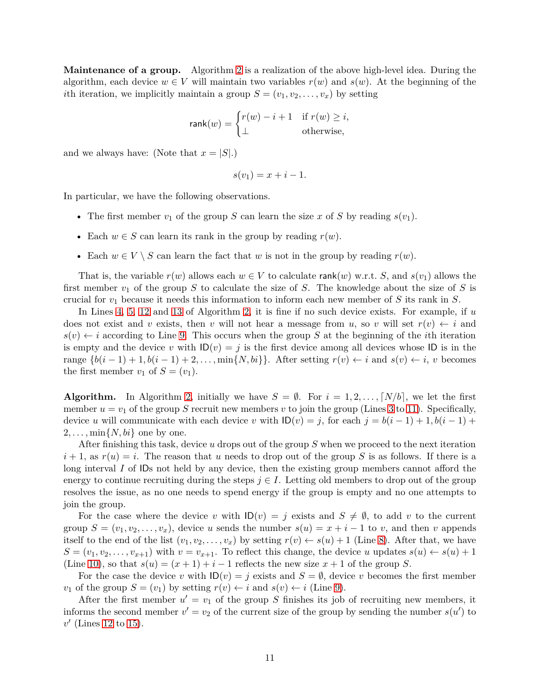**Maintenance of a group.** Algorithm [2](#page-10-0) is a realization of the above high-level idea. During the algorithm, each device  $w \in V$  will maintain two variables  $r(w)$  and  $s(w)$ . At the beginning of the *i*th iteration, we implicitly maintain a group  $S = (v_1, v_2, \ldots, v_x)$  by setting

$$
\mathsf{rank}(w) = \begin{cases} r(w) - i + 1 & \text{if } r(w) \ge i, \\ \bot & \text{otherwise,} \end{cases}
$$

and we always have: (Note that  $x = |S|$ .)

$$
s(v_1) = x + i - 1.
$$

In particular, we have the following observations.

- The first member  $v_1$  of the group *S* can learn the size *x* of *S* by reading  $s(v_1)$ .
- Each  $w \in S$  can learn its rank in the group by reading  $r(w)$ .
- Each  $w \in V \setminus S$  can learn the fact that *w* is not in the group by reading  $r(w)$ .

That is, the variable  $r(w)$  allows each  $w \in V$  to calculate rank $(w)$  w.r.t. *S*, and  $s(v_1)$  allows the first member *v*<sup>1</sup> of the group *S* to calculate the size of *S*. The knowledge about the size of *S* is crucial for *v*<sup>1</sup> because it needs this information to inform each new member of *S* its rank in *S*.

In Lines [4,](#page-10-1) [5,](#page-10-2) [12](#page-10-3) and [13](#page-10-4) of Algorithm [2,](#page-10-0) it is fine if no such device exists. For example, if *u* does not exist and *v* exists, then *v* will not hear a message from *u*, so *v* will set  $r(v) \leftarrow i$  and  $s(v) \leftarrow i$  according to Line [9.](#page-10-5) This occurs when the group *S* at the beginning of the *i*th iteration is empty and the device *v* with  $\mathsf{ID}(v) = j$  is the first device among all devices whose  $\mathsf{ID}$  is in the range  $\{b(i-1)+1, b(i-1)+2, \ldots, \min\{N, bi\}\}\$ . After setting  $r(v) \leftarrow i$  and  $s(v) \leftarrow i$ , *v* becomes the first member  $v_1$  of  $S = (v_1)$ .

**Algorithm.** In Algorithm [2,](#page-10-0) initially we have  $S = \emptyset$ . For  $i = 1, 2, \ldots, [N/b]$ , we let the first member  $u = v_1$  of the group *S* recruit new members *v* to join the group (Lines [3](#page-10-6) to [11\)](#page-10-7). Specifically, device *u* will communicate with each device *v* with  $ID(v) = j$ , for each  $j = b(i - 1) + 1, b(i - 1) +$  $2, \ldots, \min\{N, bi\}$  one by one.

After finishing this task, device *u* drops out of the group *S* when we proceed to the next iteration  $i+1$ , as  $r(u) = i$ . The reason that *u* needs to drop out of the group *S* is as follows. If there is a long interval *I* of IDs not held by any device, then the existing group members cannot afford the energy to continue recruiting during the steps  $j \in I$ . Letting old members to drop out of the group resolves the issue, as no one needs to spend energy if the group is empty and no one attempts to join the group.

For the case where the device v with  $\mathsf{ID}(v) = j$  exists and  $S \neq \emptyset$ , to add v to the current group  $S = (v_1, v_2, \ldots, v_x)$ , device *u* sends the number  $s(u) = x + i - 1$  to *v*, and then *v* appends itself to the end of the list  $(v_1, v_2, \ldots, v_x)$  by setting  $r(v) \leftarrow s(u) + 1$  (Line [8\)](#page-10-8). After that, we have  $S = (v_1, v_2, \ldots, v_{x+1})$  with  $v = v_{x+1}$ . To reflect this change, the device *u* updates  $s(u) \leftarrow s(u) + 1$ (Line [10\)](#page-10-9), so that  $s(u) = (x + 1) + i - 1$  reflects the new size  $x + 1$  of the group *S*.

For the case the device *v* with  $\mathsf{ID}(v) = j$  exists and  $S = \emptyset$ , device *v* becomes the first member *v*<sub>1</sub> of the group  $S = (v_1)$  by setting  $r(v) \leftarrow i$  and  $s(v) \leftarrow i$  (Line [9\)](#page-10-5).

After the first member  $u' = v_1$  of the group *S* finishes its job of recruiting new members, it informs the second member  $v' = v_2$  of the current size of the group by sending the number  $s(u')$  to *v* ′ (Lines [12](#page-10-3) to [15\)](#page-10-10).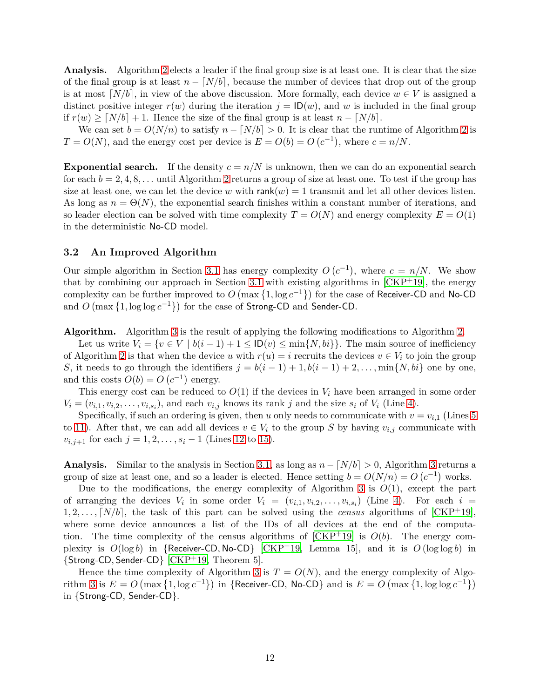**Analysis.** Algorithm [2](#page-10-0) elects a leader if the final group size is at least one. It is clear that the size of the final group is at least  $n - [N/b]$ , because the number of devices that drop out of the group is at most  $\lceil N/b \rceil$ , in view of the above discussion. More formally, each device  $w \in V$  is assigned a distinct positive integer  $r(w)$  during the iteration  $j = \mathsf{ID}(w)$ , and w is included in the final group if  $r(w)$  ≥  $\lceil N/b \rceil + 1$ . Hence the size of the final group is at least  $n - \lceil N/b \rceil$ .

We can set  $b = O(N/n)$  to satisfy  $n - \lceil N/b \rceil > 0$ . It is clear that the runtime of Algorithm [2](#page-10-0) is  $T = O(N)$ , and the energy cost per device is  $E = O(b) = O(c^{-1})$ , where  $c = n/N$ .

**Exponential search.** If the density  $c = n/N$  is unknown, then we can do an exponential search for each  $b = 2, 4, 8, \ldots$  $b = 2, 4, 8, \ldots$  $b = 2, 4, 8, \ldots$  until Algorithm 2 returns a group of size at least one. To test if the group has size at least one, we can let the device *w* with  $rank(w) = 1$  transmit and let all other devices listen. As long as  $n = \Theta(N)$ , the exponential search finishes within a constant number of iterations, and so leader election can be solved with time complexity  $T = O(N)$  and energy complexity  $E = O(1)$ in the deterministic No-CD model.

#### **3.2 An Improved Algorithm**

Our simple algorithm in Section [3.1](#page-10-11) has energy complexity  $O(c^{-1})$ , where  $c = n/N$ . We show that by combining our approach in Section [3.1](#page-10-11) with existing algorithms in  $\text{CKP+19}$ , the energy complexity can be further improved to  $O(\max\{1, \log c^{-1}\})$  for the case of Receiver-CD and No-CD and  $O$  (max  $\{1, \log \log c^{-1}\}\$ ) for the case of Strong-CD and Sender-CD.

**Algorithm.** Algorithm [3](#page-13-0) is the result of applying the following modifications to Algorithm [2.](#page-10-0)

Let us write  $V_i = \{v \in V \mid b(i-1) + 1 \leq \mathsf{ID}(v) \leq \min\{N, bi\}\}\)$ . The main source of inefficiency of Algorithm [2](#page-10-0) is that when the device *u* with  $r(u) = i$  recruits the devices  $v \in V_i$  to join the group *S*, it needs to go through the identifiers  $j = b(i - 1) + 1$ ,  $b(i - 1) + 2, \ldots$ , min $\{N, bi\}$  one by one, and this costs  $O(b) = O(c^{-1})$  energy.

This energy cost can be reduced to  $O(1)$  if the devices in  $V_i$  have been arranged in some order  $V_i = (v_{i,1}, v_{i,2}, \ldots, v_{i,s_i})$ , and each  $v_{i,j}$  knows its rank *j* and the size  $s_i$  of  $V_i$  (Line [4\)](#page-13-1).

Specifically, if such an ordering is given, then *u* only needs to communicate with  $v = v_{i,1}$  (Lines [5](#page-13-2)) to [11\)](#page-13-3). After that, we can add all devices  $v \in V_i$  to the group S by having  $v_{i,j}$  communicate with *v*<sub>*i*,*j*+1</sub> for each *j* = 1, 2, . . . ,  $s_i$  − 1 (Lines [12](#page-13-4) to [15\)](#page-13-5).

**Analysis.** Similar to the analysis in Section [3.1,](#page-10-11) as long as  $n - \lfloor N/b \rfloor > 0$ , Algorithm [3](#page-13-0) returns a group of size at least one, and so a leader is elected. Hence setting  $b = O(N/n) = O(c^{-1})$  works.

Due to the modifications, the energy complexity of Algorithm [3](#page-13-0) is  $O(1)$ , except the part of arranging the devices  $V_i$  in some order  $V_i = (v_{i,1}, v_{i,2}, \ldots, v_{i,s_i})$  (Line [4\)](#page-13-1). For each  $i =$  $1, 2, \ldots, [N/b]$ , the task of this part can be solved using the *census* algorithms of  $[CKP^+19]$ , where some device announces a list of the IDs of all devices at the end of the computation. The time complexity of the census algorithms of  $[CKP<sup>+</sup>19]$  is  $O(b)$ . The energy complexity is  $O(\log b)$  in {Receiver-CD, No-CD} [\[CKP](#page-19-0)<sup>+</sup>19, Lemma 15], and it is  $O(\log \log b)$  in {Strong-CD*,* Sender-CD} [\[CKP](#page-19-0)+19, Theorem 5].

Hence the time complexity of Algorithm [3](#page-13-0) is  $T = O(N)$ , and the energy complexity of Algo-rithm [3](#page-13-0) is  $E = O(\max\{1, \log c^{-1}\})$  in {Receiver-CD, No-CD} and is  $E = O(\max\{1, \log \log c^{-1}\})$ in {Strong-CD, Sender-CD}.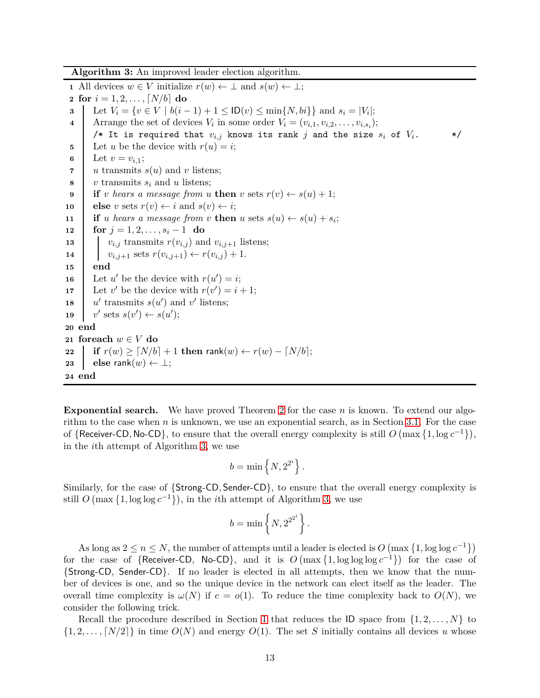**Algorithm 3:** An improved leader election algorithm.

<span id="page-13-4"></span><span id="page-13-3"></span><span id="page-13-2"></span><span id="page-13-1"></span> All devices  $w \in V$  initialize  $r(w) \leftarrow \perp$  and  $s(w) \leftarrow \perp$ ; **for**  $i = 1, 2, ..., [N/b]$  **do**<br>**3** | Let  $V_i = \{v \in V \mid bi \in I\}$  Let  $V_i = \{v \in V \mid b(i-1) + 1 \leq \mathsf{ID}(v) \leq \min\{N, bi\}\}\$ and  $s_i = |V_i|$ ; Arrange the set of devices  $V_i$  in some order  $V_i = (v_{i,1}, v_{i,2}, \ldots, v_{i,s_i});$ /\* It is required that  $v_{i,j}$  knows its rank  $j$  and the size  $s_i$  of  $V_i$ .  $*$ / Let *u* be the device with  $r(u) = i$ ; 6 Let  $v = v_{i,1}$ ;  $\vert u \text{ transmits } s(u) \text{ and } v \text{ listens};$  *v* transmits *s<sup>i</sup>* and *u* listens; **if** *v hears* a message from *u* **then** *v* sets  $r(v) \leftarrow s(u) + 1$ ; **else** *v* sets  $r(v) \leftarrow i$  and  $s(v) \leftarrow i$ ; **if** *u hears a message* from *v* **then** *u* sets  $s(u) \leftarrow s(u) + s_i$ ; **for** *j* = 1*,* 2*, . . . , s<sup>i</sup>* − 1 **do i**  $v_{i,j}$  transmits  $r(v_{i,j})$  and  $v_{i,j+1}$  listens;  $v_{i,j+1}$  sets  $r(v_{i,j+1}) \leftarrow r(v_{i,j}) + 1.$ **15 end** Let *u*' be the device with  $r(u') = i$ ; Let *v*' be the device with  $r(v') = i + 1$ ; **18** *u* ' transmits  $s(u')$  and  $v'$  listens; **19** *v* ' sets  $s(v') \leftarrow s(u')$ ; **20 end foreach** *w* ∈ *V* **do if**  $r(w) \ge \lceil N/b \rceil + 1$  **then** rank $(w) \leftarrow r(w) - \lceil N/b \rceil$ ; **else** rank $(w) \leftarrow \perp$ ; **24 end**

<span id="page-13-5"></span><span id="page-13-0"></span>**Exponential search.** We have proved Theorem [2](#page-9-0) for the case *n* is known. To extend our algorithm to the case when  $n$  is unknown, we use an exponential search, as in Section [3.1.](#page-10-11) For the case of  $\{$ Receiver-CD, No-CD $\}$ , to ensure that the overall energy complexity is still  $O(\max\{1, \log c^{-1}\}),$ in the *i*th attempt of Algorithm [3,](#page-13-0) we use

$$
b = \min\left\{N, 2^{2^i}\right\}.
$$

Similarly, for the case of {Strong-CD*,* Sender-CD}, to ensure that the overall energy complexity is still  $O(\max\{1, \log \log c^{-1}\})$ , in the *i*th attempt of Algorithm [3,](#page-13-0) we use

$$
b = \min\left\{N, 2^{2^{2^i}}\right\}.
$$

As long as  $2 \le n \le N$ , the number of attempts until a leader is elected is  $O(\max\{1, \log \log c^{-1}\})$ for the case of {Receiver-CD, No-CD}, and it is  $O(\max\{1, \log \log \log c^{-1}\})$  for the case of {Strong-CD, Sender-CD}. If no leader is elected in all attempts, then we know that the number of devices is one, and so the unique device in the network can elect itself as the leader. The overall time complexity is  $\omega(N)$  if  $c = o(1)$ . To reduce the time complexity back to  $O(N)$ , we consider the following trick.

Recall the procedure described in Section [1](#page-1-0) that reduces the ID space from  $\{1, 2, \ldots, N\}$  to  $\{1, 2, \ldots, \lceil N/2 \rceil \}$  in time  $O(N)$  and energy  $O(1)$ . The set *S* initially contains all devices *u* whose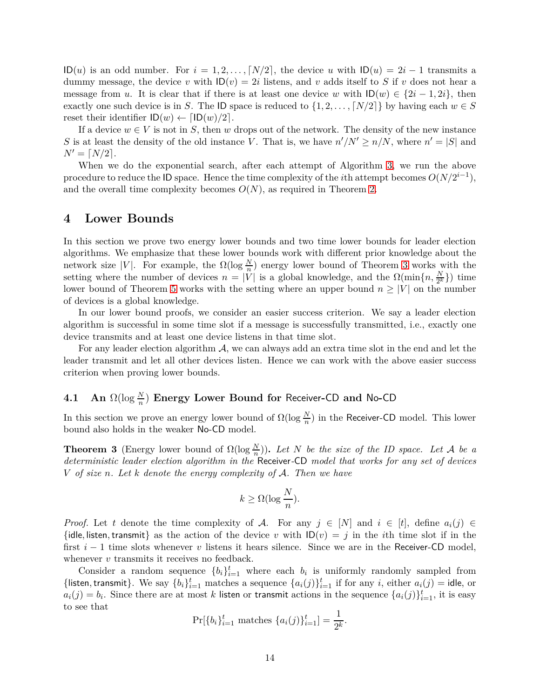$ID(u)$  is an odd number. For  $i = 1, 2, \ldots, [N/2]$ , the device *u* with  $ID(u) = 2i - 1$  transmits a dummy message, the device *v* with  $\mathsf{ID}(v) = 2i$  listens, and *v* adds itself to *S* if *v* does not hear a message from *u*. It is clear that if there is at least one device *w* with  $\mathsf{ID}(w) \in \{2i - 1, 2i\}$ , then exactly one such device is in *S*. The ID space is reduced to  $\{1, 2, \ldots, \lceil N/2 \rceil\}$  by having each  $w \in S$ reset their identifier  $ID(w) \leftarrow \lceil ID(w)/2 \rceil$ .

If a device  $w \in V$  is not in *S*, then *w* drops out of the network. The density of the new instance *S* is at least the density of the old instance *V*. That is, we have  $n'/N' \ge n/N$ , where  $n' = |S|$  and  $N' = \lceil N/2 \rceil$ .

When we do the exponential search, after each attempt of Algorithm [3,](#page-13-0) we run the above procedure to reduce the ID space. Hence the time complexity of the *i*th attempt becomes  $O(N/2^{i-1})$ , and the overall time complexity becomes  $O(N)$ , as required in Theorem [2.](#page-9-0)

### **4 Lower Bounds**

In this section we prove two energy lower bounds and two time lower bounds for leader election algorithms. We emphasize that these lower bounds work with different prior knowledge about the network size |*V*|. For example, the  $\Omega(\log \frac{N}{n})$  energy lower bound of Theorem [3](#page-14-0) works with the setting where the number of devices  $n = |V|$  is a global knowledge, and the  $\Omega(\min\{n, \frac{N}{2^k}\})$  time lower bound of Theorem [5](#page-15-1) works with the setting where an upper bound  $n \geq |V|$  on the number of devices is a global knowledge.

In our lower bound proofs, we consider an easier success criterion. We say a leader election algorithm is successful in some time slot if a message is successfully transmitted, i.e., exactly one device transmits and at least one device listens in that time slot.

For any leader election algorithm  $A$ , we can always add an extra time slot in the end and let the leader transmit and let all other devices listen. Hence we can work with the above easier success criterion when proving lower bounds.

## **4.1 An** Ω(log *<sup>N</sup> n* ) **Energy Lower Bound for** Receiver**-**CD **and** No**-**CD

<span id="page-14-0"></span>In this section we prove an energy lower bound of  $\Omega(\log \frac{N}{n})$  in the Receiver-CD model. This lower bound also holds in the weaker No-CD model.

**Theorem 3** (Energy lower bound of  $\Omega(\log \frac{N}{n})$ ). Let N be the size of the ID space. Let A be a *deterministic leader election algorithm in the* Receiver*-*CD *model that works for any set of devices V of size n. Let k denote the energy complexity of* A*. Then we have*

$$
k \geq \Omega(\log \frac{N}{n}).
$$

*Proof.* Let *t* denote the time complexity of A. For any  $j \in [N]$  and  $i \in [t]$ , define  $a_i(j) \in$ {idle, listen, transmit} as the action of the device *v* with  $ID(v) = j$  in the *i*th time slot if in the first *i* − 1 time slots whenever *v* listens it hears silence. Since we are in the Receiver-CD model, whenever *v* transmits it receives no feedback.

Consider a random sequence  $\{b_i\}_{i=1}^t$  where each  $b_i$  is uniformly randomly sampled from {listen, transmit}. We say  $\{b_i\}_{i=1}^t$  matches a sequence  $\{a_i(j)\}_{i=1}^t$  if for any *i*, either  $a_i(j)$  = idle, or  $a_i(j) = b_i$ . Since there are at most *k* listen or transmit actions in the sequence  $\{a_i(j)\}_{i=1}^t$ , it is easy to see that

$$
\Pr[\{b_i\}_{i=1}^t \text{ matches } \{a_i(j)\}_{i=1}^t] = \frac{1}{2^k}.
$$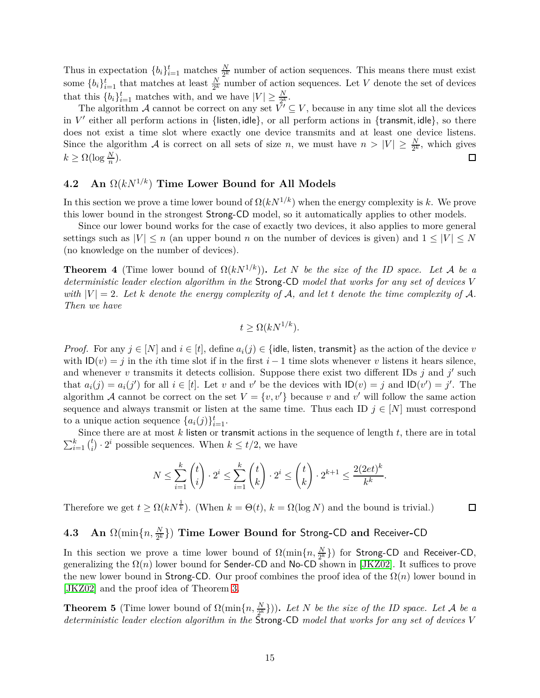Thus in expectation  ${b_i}_{i=1}^t$  matches  $\frac{N}{2^k}$  number of action sequences. This means there must exist some  ${b_i}_{i=1}^t$  that matches at least  $\frac{N}{2^k}$  number of action sequences. Let *V* denote the set of devices that this  $\{b_i\}_{i=1}^t$  matches with, and we have  $|V| \geq \frac{N}{2^k}$ .

The algorithm A cannot be correct on any set  $\bar{V}' \subseteq V$ , because in any time slot all the devices in *V* ′ either all perform actions in {listen*,* idle}, or all perform actions in {transmit*,* idle}, so there does not exist a time slot where exactly one device transmits and at least one device listens. Since the algorithm A is correct on all sets of size *n*, we must have  $n > |V| \geq \frac{N}{2^k}$ , which gives  $k \geq \Omega(\log \frac{N}{n}).$ 囗

### **4.2 An** Ω(*kN*<sup>1</sup>*/k*) **Time Lower Bound for All Models**

In this section we prove a time lower bound of  $\Omega(kN^{1/k})$  when the energy complexity is k. We prove this lower bound in the strongest Strong-CD model, so it automatically applies to other models.

Since our lower bound works for the case of exactly two devices, it also applies to more general settings such as  $|V| \le n$  (an upper bound *n* on the number of devices is given) and  $1 \le |V| \le N$ (no knowledge on the number of devices).

<span id="page-15-0"></span>**Theorem 4** (Time lower bound of  $\Omega(kN^{1/k})$ ). Let N be the size of the ID space. Let A be a *deterministic leader election algorithm in the* Strong*-*CD *model that works for any set of devices V with*  $|V| = 2$ *. Let k denote the energy complexity of* A, and let *t denote the time complexity of* A. *Then we have*

$$
t \ge \Omega(kN^{1/k}).
$$

*Proof.* For any  $j \in [N]$  and  $i \in [t]$ , define  $a_i(j) \in \{$ idle, listen, transmit} as the action of the device *v* with  $ID(v) = j$  in the *i*th time slot if in the first *i* − 1 time slots whenever *v* listens it hears silence, and whenever *v* transmits it detects collision. Suppose there exist two different IDs  $j$  and  $j'$  such that  $a_i(j) = a_i(j')$  for all  $i \in [t]$ . Let *v* and *v*' be the devices with  $ID(v) = j$  and  $ID(v') = j'$ . The algorithm A cannot be correct on the set  $V = \{v, v'\}$  because *v* and *v'* will follow the same action sequence and always transmit or listen at the same time. Thus each ID  $j \in [N]$  must correspond to a unique action sequence  $\{a_i(j)\}_{i=1}^t$ .

Since there are at most *k* listen or transmit actions in the sequence of length *t*, there are in total  $\sum_{i=1}^k\binom{t}{i}$  $i<sub>i</sub>$   $\cdot$  2<sup>*i*</sup></sup> possible sequences. When  $k \leq t/2$ , we have

$$
N \le \sum_{i=1}^k \binom{t}{i} \cdot 2^i \le \sum_{i=1}^k \binom{t}{k} \cdot 2^i \le \binom{t}{k} \cdot 2^{k+1} \le \frac{2(2et)^k}{k^k}.
$$

Therefore we get  $t \ge \Omega(kN^{\frac{1}{k}})$ . (When  $k = \Theta(t)$ ,  $k = \Omega(\log N)$  and the bound is trivial.)  $\Box$ 

# **4.3 An** Ω(min{*n, <sup>N</sup>* 2 *<sup>k</sup>* }) **Time Lower Bound for** Strong**-**CD **and** Receiver**-**CD

In this section we prove a time lower bound of  $\Omega(\min\{n, \frac{N}{2^k}\})$  for Strong-CD and Receiver-CD, generalizing the  $\Omega(n)$  lower bound for Sender-CD and No-CD shown in [\[JKZ02\]](#page-20-0). It suffices to prove the new lower bound in Strong-CD. Our proof combines the proof idea of the Ω(*n*) lower bound in [\[JKZ02\]](#page-20-0) and the proof idea of Theorem [3.](#page-14-0)

<span id="page-15-1"></span>**Theorem 5** (Time lower bound of  $\Omega(\min\{n, \frac{N}{2^k}\})$ ). Let *N* be the size of the ID space. Let *A* be a *deterministic leader election algorithm in the* Strong*-*CD *model that works for any set of devices V*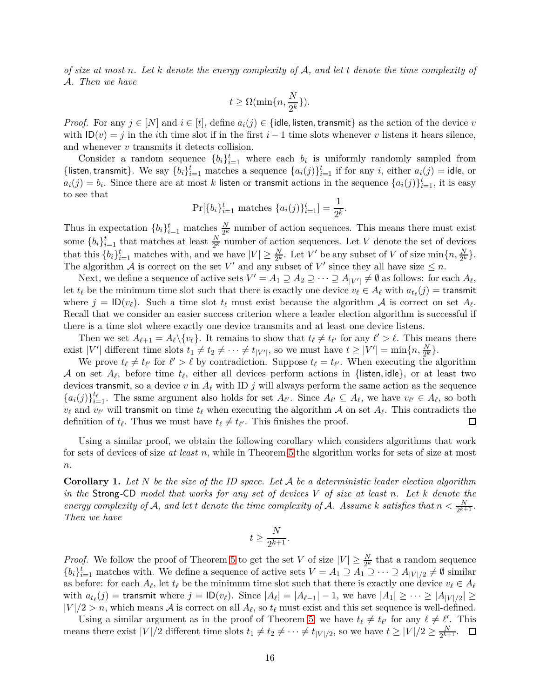*of size at most n. Let k denote the energy complexity of* A*, and let t denote the time complexity of* A*. Then we have*

$$
t \geq \Omega(\min\{n, \frac{N}{2^k}\}).
$$

*Proof.* For any  $j \in [N]$  and  $i \in [t]$ , define  $a_i(j) \in \{$ idle, listen, transmit $\}$  as the action of the device *v* with  $ID(v) = j$  in the *i*th time slot if in the first *i* − 1 time slots whenever *v* listens it hears silence, and whenever *v* transmits it detects collision.

Consider a random sequence  $\{b_i\}_{i=1}^t$  where each  $b_i$  is uniformly randomly sampled from {listen, transmit}. We say  $\{b_i\}_{i=1}^t$  matches a sequence  $\{a_i(j)\}_{i=1}^t$  if for any *i*, either  $a_i(j)$  = idle, or  $a_i(j) = b_i$ . Since there are at most *k* listen or transmit actions in the sequence  $\{a_i(j)\}_{i=1}^t$ , it is easy to see that

$$
\Pr[\{b_i\}_{i=1}^t \text{ matches } \{a_i(j)\}_{i=1}^t] = \frac{1}{2^k}.
$$

Thus in expectation  ${b_i}_{i=1}^t$  matches  $\frac{N}{2^k}$  number of action sequences. This means there must exist some  ${b_i}_{i=1}^t$  that matches at least  $\frac{N}{2^k}$  number of action sequences. Let *V* denote the set of devices that this  $\{b_i\}_{i=1}^t$  matches with, and we have  $|V| \geq \frac{N}{2^k}$ . Let *V'* be any subset of *V* of size min $\{n, \frac{N}{2^k}\}$ . The algorithm A is correct on the set  $V'$  and any subset of  $V'$  since they all have size  $\leq n$ .

Next, we define a sequence of active sets  $V' = A_1 \supseteq A_2 \supseteq \cdots \supseteq A_{|V'|} \neq \emptyset$  as follows: for each  $A_{\ell}$ , let  $t_{\ell}$  be the minimum time slot such that there is exactly one device  $v_{\ell} \in A_{\ell}$  with  $a_{t_{\ell}}(j) = \text{transmit}$ where  $j = \text{ID}(v_\ell)$ . Such a time slot  $t_\ell$  must exist because the algorithm A is correct on set  $A_\ell$ . Recall that we consider an easier success criterion where a leader election algorithm is successful if there is a time slot where exactly one device transmits and at least one device listens.

Then we set  $A_{\ell+1} = A_{\ell} \setminus \{v_{\ell}\}\$ . It remains to show that  $t_{\ell} \neq t_{\ell'}$  for any  $\ell' > \ell$ . This means there exist  $|V'|$  different time slots  $t_1 \neq t_2 \neq \cdots \neq t_{|V'|}$ , so we must have  $t \geq |V'| = \min\{n, \frac{N}{2^k}\}.$ 

We prove  $t_{\ell} \neq t_{\ell'}$  for  $\ell' > \ell$  by contradiction. Suppose  $t_{\ell} = t_{\ell'}$ . When executing the algorithm A on set  $A_{\ell}$ , before time  $t_{\ell}$ , either all devices perform actions in {listen, idle}, or at least two devices transmit, so a device  $v$  in  $A_{\ell}$  with ID  $j$  will always perform the same action as the sequence  ${a_i(j)}_{i=1}^{t_\ell}$ . The same argument also holds for set  $A_{\ell'}$ . Since  $A_{\ell'} \subseteq A_{\ell}$ , we have  $v_{\ell'} \in A_{\ell}$ , so both  $v_{\ell}$  and  $v_{\ell'}$  will transmit on time  $t_{\ell}$  when executing the algorithm  $\mathcal A$  on set  $A_{\ell}$ . This contradicts the definition of  $t_{\ell}$ . Thus we must have  $t_{\ell} \neq t_{\ell'}$ . This finishes the proof.  $\Box$ 

Using a similar proof, we obtain the following corollary which considers algorithms that work for sets of devices of size *at least n*, while in Theorem [5](#page-15-1) the algorithm works for sets of size at most *n*.

<span id="page-16-0"></span>**Corollary 1.** *Let N be the size of the ID space. Let* A *be a deterministic leader election algorithm in the* Strong*-*CD *model that works for any set of devices V of size at least n. Let k denote the energy complexity of* A, and let *t* denote the time complexity of A. Assume k satisfies that  $n < \frac{N}{2^{k+1}}$ . *Then we have*

$$
t \ge \frac{N}{2^{k+1}}.
$$

*Proof.* We follow the proof of Theorem [5](#page-15-1) to get the set *V* of size  $|V| \geq \frac{N}{2^k}$  that a random sequence  ${b_i}_{i=1}^t$  matches with. We define a sequence of active sets  $V = A_1 \supseteq A_1 \supseteq \cdots \supseteq A_{|V|/2} \neq \emptyset$  similar as before: for each  $A_{\ell}$ , let  $t_{\ell}$  be the minimum time slot such that there is exactly one device  $v_{\ell} \in A_{\ell}$ with  $a_{t_\ell}(j) =$  transmit where  $j = \text{ID}(v_\ell)$ . Since  $|A_\ell| = |A_{\ell-1}| - 1$ , we have  $|A_1| \geq \cdots \geq |A_{|V|/2}| \geq$  $|V|/2 > n$ , which means A is correct on all  $A_{\ell}$ , so  $t_{\ell}$  must exist and this set sequence is well-defined.

Using a similar argument as in the proof of Theorem [5,](#page-15-1) we have  $t_{\ell} \neq t_{\ell'}$  for any  $\ell \neq \ell'$ . This means there exist  $|V|/2$  different time slots  $t_1 \neq t_2 \neq \cdots \neq t_{|V|/2}$ , so we have  $t \geq |V|/2 \geq \frac{N}{2^{k+1}}$  $\frac{N}{2^{k+1}}$ .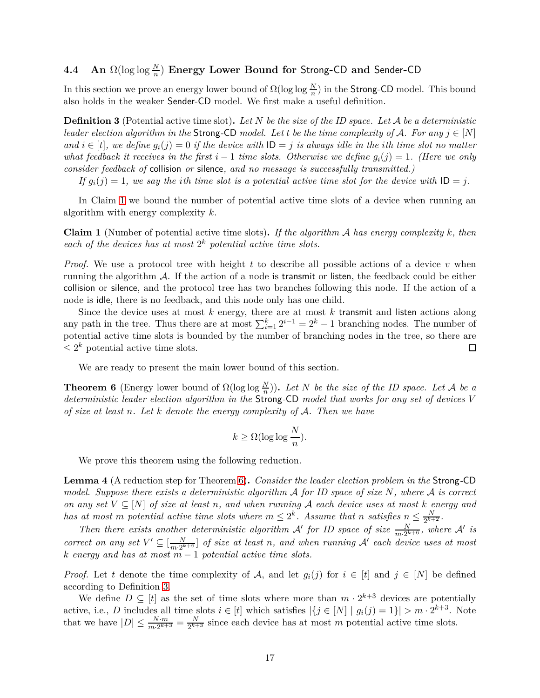## **4.4 An** Ω(log log *<sup>N</sup> n* ) **Energy Lower Bound for** Strong**-**CD **and** Sender**-**CD

<span id="page-17-2"></span>In this section we prove an energy lower bound of  $\Omega(\log \log \frac{N}{n})$  in the Strong-CD model. This bound also holds in the weaker Sender-CD model. We first make a useful definition.

**Definition 3** (Potential active time slot)**.** *Let N be the size of the ID space. Let* A *be a deterministic leader election algorithm in the* Strong-CD *model. Let t be the time complexity of* A. For any  $j \in [N]$ *and i* ∈ [*t*]*,* we define  $g_i(j) = 0$  *if the device with*  $ID = j$  *is always idle in the <i>i*th *time slot no matter what feedback it receives in the first*  $i - 1$  *time slots. Otherwise we define*  $g_i(j) = 1$ *. (Here we only consider feedback of* collision *or* silence*, and no message is successfully transmitted.)*

*If*  $g_i(j) = 1$ *, we say the ith time slot is a potential active time slot for the device with*  $ID = j$ *.* 

<span id="page-17-1"></span>In Claim [1](#page-17-1) we bound the number of potential active time slots of a device when running an algorithm with energy complexity *k*.

**Claim 1** (Number of potential active time slots)**.** *If the algorithm* A *has energy complexity k, then* each of the devices has at most  $2^k$  potential active time slots.

*Proof.* We use a protocol tree with height *t* to describe all possible actions of a device *v* when running the algorithm A. If the action of a node is transmit or listen, the feedback could be either collision or silence, and the protocol tree has two branches following this node. If the action of a node is idle, there is no feedback, and this node only has one child.

Since the device uses at most *k* energy, there are at most *k* transmit and listen actions along any path in the tree. Thus there are at most  $\sum_{i=1}^{k} 2^{i-1} = 2^{k} - 1$  branching nodes. The number of potential active time slots is bounded by the number of branching nodes in the tree, so there are  $\leq 2^k$  potential active time slots.  $\Box$ 

<span id="page-17-0"></span>We are ready to present the main lower bound of this section.

**Theorem 6** (Energy lower bound of  $\Omega(\log \log \frac{N}{n})$ ). Let N be the size of the ID space. Let A be a *deterministic leader election algorithm in the* Strong*-*CD *model that works for any set of devices V of size at least n. Let k denote the energy complexity of* A*. Then we have*

$$
k \geq \Omega(\log\log\frac{N}{n}).
$$

<span id="page-17-3"></span>We prove this theorem using the following reduction.

**Lemma 4** (A reduction step for Theorem [6\)](#page-17-0)**.** *Consider the leader election problem in the* Strong*-*CD *model. Suppose there exists a deterministic algorithm* A *for ID space of size N, where* A *is correct on any set*  $V ⊆ [N]$  *of size at least n, and when running*  $A$  *each device uses at most*  $k$  *energy and has at most m* potential active time slots where  $m \leq 2^k$ . Assume that *n* satisfies  $n \leq \frac{N}{2^{k+1}}$  $\frac{N}{2^{k+2}}$ .

*Then there exists another deterministic algorithm A' for ID space of size*  $\frac{N}{m \cdot 2^{k+6}}$ , where A' is *correct on any set*  $V' \subseteq \left[\frac{N}{m \cdot 2^k}\right]$  $\frac{N}{m \cdot 2^{k+6}}$  of size at least *n*, and when running  $\mathcal{A}'$  each device uses at most *k energy and has at most m* − 1 *potential active time slots.*

*Proof.* Let *t* denote the time complexity of A, and let  $g_i(j)$  for  $i \in [t]$  and  $j \in [N]$  be defined according to Definition [3.](#page-17-2)

We define  $D \subseteq [t]$  as the set of time slots where more than  $m \cdot 2^{k+3}$  devices are potentially active, i.e., *D* includes all time slots  $i \in [t]$  which satisfies  $|\{j \in [N] \mid g_i(j) = 1\}| > m \cdot 2^{k+3}$ . Note that we have  $|D| \le \frac{N \cdot m}{m \cdot 2^{k+3}} = \frac{N}{2^{k+1}}$  $\frac{N}{2^{k+3}}$  since each device has at most *m* potential active time slots.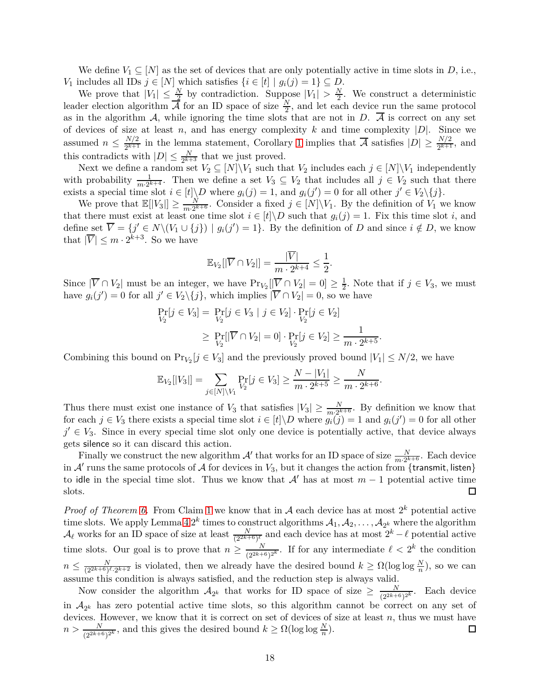We define  $V_1 \subseteq [N]$  as the set of devices that are only potentially active in time slots in *D*, i.e., *V*<sub>1</sub> includes all IDs  $j \in [N]$  which satisfies  $\{i \in [t] | g_i(j) = 1\} ⊆ D$ .

We prove that  $|V_1| \leq \frac{N}{2}$  by contradiction. Suppose  $|V_1| > \frac{N}{2}$  $\frac{N}{2}$ . We construct a deterministic leader election algorithm  $\overline{A}$  for an ID space of size  $\frac{N}{2}$ , and let each device run the same protocol as in the algorithm  $\mathcal{A}$ , while ignoring the time slots that are not in *D*.  $\overline{\mathcal{A}}$  is correct on any set of devices of size at least *n*, and has energy complexity *k* and time complexity  $|D|$ . Since we assumed  $n \leq \frac{N/2}{2^{k+1}}$  $\frac{N/2}{2^{k+1}}$  in the lemma statement, Corollary [1](#page-16-0) implies that  $\overline{\mathcal{A}}$  satisfies  $|D| \geq \frac{N/2}{2^{k+1}}$ , and this contradicts with  $|D| \leq \frac{N}{2^{k+3}}$  that we just proved.

Next we define a random set  $V_2 \subseteq [N] \backslash V_1$  such that  $V_2$  includes each  $j \in [N] \backslash V_1$  independently with probability  $\frac{1}{m \cdot 2^{k+4}}$ . Then we define a set  $V_3 \subseteq V_2$  that includes all  $j \in V_2$  such that there exists a special time slot  $i \in [t] \backslash D$  where  $g_i(j) = 1$ , and  $g_i(j') = 0$  for all other  $j' \in V_2 \backslash \{j\}$ .

We prove that  $\mathbb{E}[|V_3|] \ge \frac{N}{m \cdot 2^k}$  $\frac{N}{m \cdot 2^{k+6}}$ . Consider a fixed  $j \in [N] \backslash V_1$ . By the definition of  $V_1$  we know that there must exist at least one time slot  $i \in [t] \backslash D$  such that  $g_i(j) = 1$ . Fix this time slot *i*, and define set  $\overline{V} = \{j' \in N \setminus (V_1 \cup \{j\}) \mid g_i(j') = 1\}$ . By the definition of *D* and since  $i \notin D$ , we know that  $|\overline{V}| \leq m \cdot 2^{k+3}$ . So we have

$$
\mathbb{E}_{V_2}[|\overline{V} \cap V_2|] = \frac{|\overline{V}|}{m \cdot 2^{k+4}} \le \frac{1}{2}.
$$

Since  $|\overline{V} \cap V_2|$  must be an integer, we have  $Pr_{V_2}[\vert \overline{V} \cap V_2 \vert = 0] \ge \frac{1}{2}$  $\frac{1}{2}$ . Note that if  $j \in V_3$ , we must have  $g_i(j') = 0$  for all  $j' \in V_2 \setminus \{j\}$ , which implies  $|\overline{V} \cap V_2| = 0$ , so we have

$$
\Pr_{V_2}[j \in V_3] = \Pr_{V_2}[j \in V_3 \mid j \in V_2] \cdot \Pr_{V_2}[j \in V_2]
$$
  
\n
$$
\geq \Pr_{V_2}[|\overline{V} \cap V_2| = 0] \cdot \Pr_{V_2}[j \in V_2] \geq \frac{1}{m \cdot 2^{k+5}}.
$$

Combining this bound on  $Pr_{V_2}[j \in V_3]$  and the previously proved bound  $|V_1| \le N/2$ , we have

$$
\mathbb{E}_{V_2}[|V_3|] = \sum_{j \in [N] \setminus V_1} \Pr_{V_2}[j \in V_3] \ge \frac{N - |V_1|}{m \cdot 2^{k+5}} \ge \frac{N}{m \cdot 2^{k+6}}.
$$

Thus there must exist one instance of  $V_3$  that satisfies  $|V_3| \geq \frac{N}{m^2 k^4}$ . By definition we know that for each  $j \in V_3$  there exists a special time slot  $i \in [t] \backslash D$  where  $g_i(j) = 1$  and  $g_i(j') = 0$  for all other  $j' \in V_3$ . Since in every special time slot only one device is potentially active, that device always gets silence so it can discard this action.

Finally we construct the new algorithm  $\mathcal{A}'$  that works for an ID space of size  $\frac{N}{m \cdot 2^{k+6}}$ . Each device in  $A'$  runs the same protocols of  $A$  for devices in  $V_3$ , but it changes the action from {transmit, listen} to idle in the special time slot. Thus we know that  $\mathcal{A}'$  has at most  $m-1$  potential active time slots. slots.

*Proof of Theorem [6.](#page-17-0)* From Claim [1](#page-17-1) we know that in A each device has at most  $2^k$  potential active time slots. We apply Lemma [4](#page-17-3)  $2^k$  times to construct algorithms  $A_1, A_2, \ldots, A_{2^k}$  where the algorithm  $\mathcal{A}_{\ell}$  works for an ID space of size at least  $\frac{N}{(2^{2k+6})^{\ell}}$  and each device has at most  $2^{k}-\ell$  potential active time slots. Our goal is to prove that  $n \geq \frac{N}{(2^{2k+1})^n}$  $\frac{N}{(2^{2k+6})^{2k}}$ . If for any intermediate  $\ell < 2^k$  the condition  $n \leq \frac{N}{(2^{2k+6})^{\ell} \cdot 2^{k+2}}$  is violated, then we already have the desired bound  $k \geq \Omega(\log \log \frac{N}{n})$ , so we can assume this condition is always satisfied, and the reduction step is always valid.

Now consider the algorithm  $\mathcal{A}_{2^k}$  that works for ID space of size  $\geq \frac{N}{(2^{2k+1})^k}$  $\frac{N}{(2^{2k+6})^{2k}}$ . Each device in  $A_{2^k}$  has zero potential active time slots, so this algorithm cannot be correct on any set of devices. However, we know that it is correct on set of devices of size at least *n*, thus we must have  $n > \frac{N}{(2^{2k+6})^{2k}}$ , and this gives the desired bound  $k \ge \Omega(\log \log \frac{N}{n})$ .  $\Box$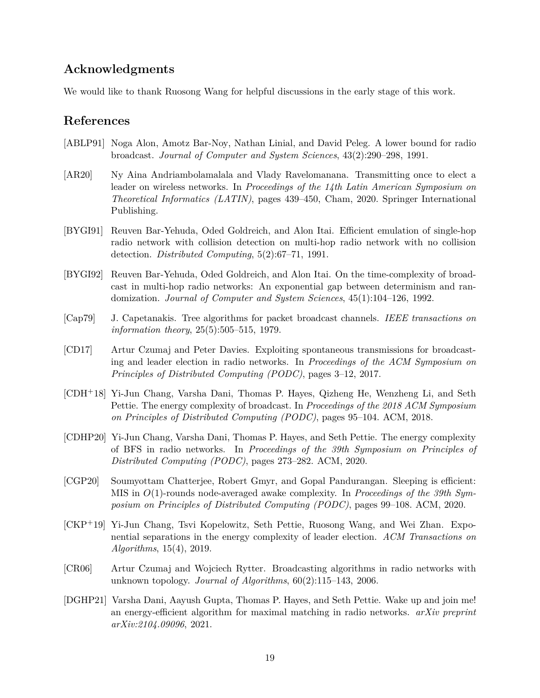## **Acknowledgments**

We would like to thank Ruosong Wang for helpful discussions in the early stage of this work.

## **References**

- <span id="page-19-8"></span>[ABLP91] Noga Alon, Amotz Bar-Noy, Nathan Linial, and David Peleg. A lower bound for radio broadcast. *Journal of Computer and System Sciences*, 43(2):290–298, 1991.
- <span id="page-19-4"></span>[AR20] Ny Aina Andriambolamalala and Vlady Ravelomanana. Transmitting once to elect a leader on wireless networks. In *Proceedings of the 14th Latin American Symposium on Theoretical Informatics (LATIN)*, pages 439–450, Cham, 2020. Springer International Publishing.
- <span id="page-19-5"></span>[BYGI91] Reuven Bar-Yehuda, Oded Goldreich, and Alon Itai. Efficient emulation of single-hop radio network with collision detection on multi-hop radio network with no collision detection. *Distributed Computing*, 5(2):67–71, 1991.
- <span id="page-19-6"></span>[BYGI92] Reuven Bar-Yehuda, Oded Goldreich, and Alon Itai. On the time-complexity of broadcast in multi-hop radio networks: An exponential gap between determinism and randomization. *Journal of Computer and System Sciences*, 45(1):104–126, 1992.
- <span id="page-19-3"></span>[Cap79] J. Capetanakis. Tree algorithms for packet broadcast channels. *IEEE transactions on information theory*, 25(5):505–515, 1979.
- <span id="page-19-9"></span>[CD17] Artur Czumaj and Peter Davies. Exploiting spontaneous transmissions for broadcasting and leader election in radio networks. In *Proceedings of the ACM Symposium on Principles of Distributed Computing (PODC)*, pages 3–12, 2017.
- <span id="page-19-1"></span>[CDH+18] Yi-Jun Chang, Varsha Dani, Thomas P. Hayes, Qizheng He, Wenzheng Li, and Seth Pettie. The energy complexity of broadcast. In *Proceedings of the 2018 ACM Symposium on Principles of Distributed Computing (PODC)*, pages 95–104. ACM, 2018.
- <span id="page-19-2"></span>[CDHP20] Yi-Jun Chang, Varsha Dani, Thomas P. Hayes, and Seth Pettie. The energy complexity of BFS in radio networks. In *Proceedings of the 39th Symposium on Principles of Distributed Computing (PODC)*, pages 273–282. ACM, 2020.
- <span id="page-19-11"></span>[CGP20] Soumyottam Chatterjee, Robert Gmyr, and Gopal Pandurangan. Sleeping is efficient: MIS in *O*(1)-rounds node-averaged awake complexity. In *Proceedings of the 39th Symposium on Principles of Distributed Computing (PODC)*, pages 99–108. ACM, 2020.
- <span id="page-19-0"></span>[CKP+19] Yi-Jun Chang, Tsvi Kopelowitz, Seth Pettie, Ruosong Wang, and Wei Zhan. Exponential separations in the energy complexity of leader election. *ACM Transactions on Algorithms*, 15(4), 2019.
- <span id="page-19-7"></span>[CR06] Artur Czumaj and Wojciech Rytter. Broadcasting algorithms in radio networks with unknown topology. *Journal of Algorithms*, 60(2):115–143, 2006.
- <span id="page-19-10"></span>[DGHP21] Varsha Dani, Aayush Gupta, Thomas P. Hayes, and Seth Pettie. Wake up and join me! an energy-efficient algorithm for maximal matching in radio networks. *arXiv preprint arXiv:2104.09096*, 2021.